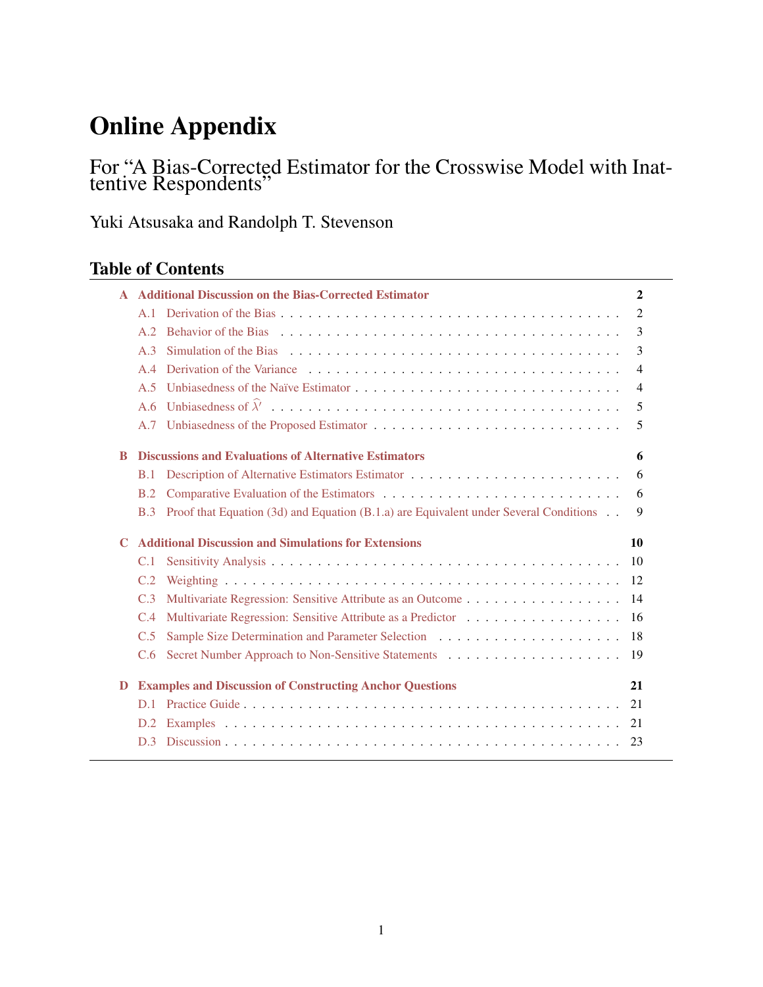# Online Appendix

# For "A Bias-Corrected Estimator for the Crosswise Model with Inattentive Respondents"

Yuki Atsusaka and Randolph T. Stevenson

| <b>Table of Contents</b> |  |
|--------------------------|--|
|--------------------------|--|

|             |                | <b>Additional Discussion on the Bias-Corrected Estimator</b>                                       | $\mathbf{2}$   |
|-------------|----------------|----------------------------------------------------------------------------------------------------|----------------|
|             | A.1            |                                                                                                    | $\overline{2}$ |
|             | A.2            |                                                                                                    | 3              |
|             | A.3            |                                                                                                    | 3              |
|             | A.4            |                                                                                                    | $\overline{4}$ |
|             | A.5            |                                                                                                    | $\overline{4}$ |
|             | A.6            |                                                                                                    | 5              |
|             | A.7            |                                                                                                    | 5              |
| R           |                | <b>Discussions and Evaluations of Alternative Estimators</b>                                       | 6              |
|             | B.1            |                                                                                                    | 6              |
|             | B.2            |                                                                                                    | 6              |
|             | B.3            | Proof that Equation $(3d)$ and Equation $(B.1.a)$ are Equivalent under Several Conditions $\ldots$ | 9              |
| $\mathbf C$ |                | <b>Additional Discussion and Simulations for Extensions</b>                                        | 10             |
|             | C.1            |                                                                                                    | 10             |
|             | C.2            |                                                                                                    |                |
|             |                |                                                                                                    |                |
|             | C.3            | Multivariate Regression: Sensitive Attribute as an Outcome 14                                      |                |
|             | C.4            | Multivariate Regression: Sensitive Attribute as a Predictor 16                                     |                |
|             | C.5            |                                                                                                    |                |
|             | C.6            |                                                                                                    |                |
| D           |                | <b>Examples and Discussion of Constructing Anchor Questions</b>                                    | 21             |
|             | D <sub>1</sub> |                                                                                                    |                |
|             | D.2            |                                                                                                    |                |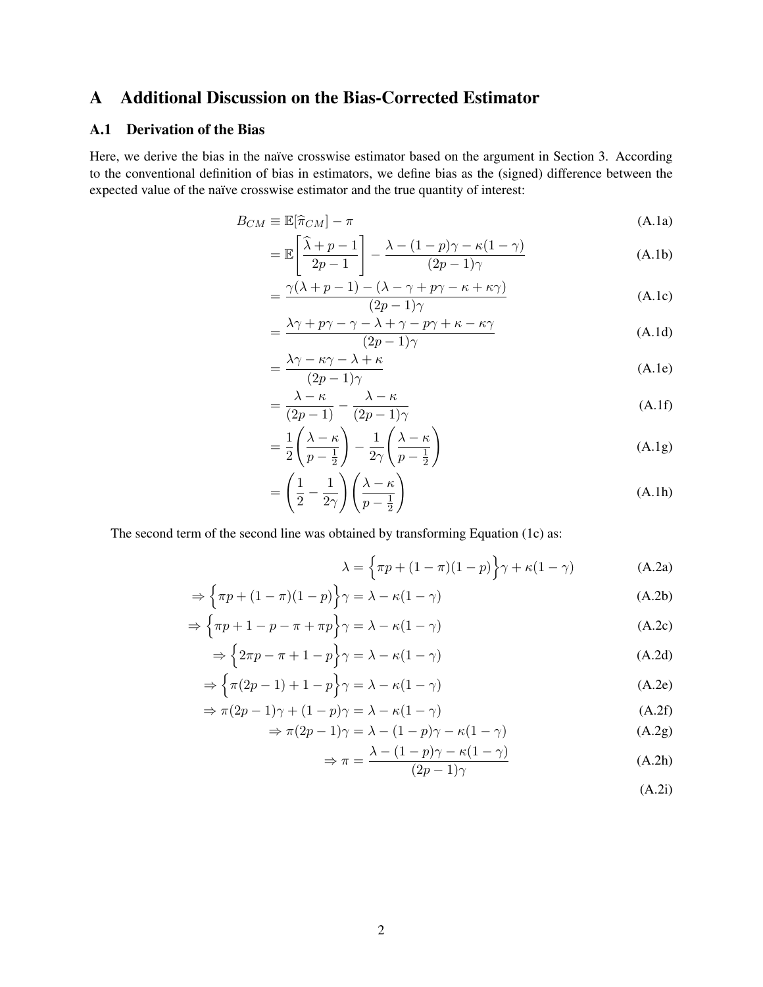# <span id="page-1-0"></span>A Additional Discussion on the Bias-Corrected Estimator

# <span id="page-1-1"></span>A.1 Derivation of the Bias

Here, we derive the bias in the naïve crosswise estimator based on the argument in Section 3. According to the conventional definition of bias in estimators, we define bias as the (signed) difference between the expected value of the naïve crosswise estimator and the true quantity of interest:

$$
B_{CM} \equiv \mathbb{E}[\hat{\pi}_{CM}] - \pi \tag{A.1a}
$$

$$
= \mathbb{E}\left[\frac{\hat{\lambda} + p - 1}{2p - 1}\right] - \frac{\lambda - (1 - p)\gamma - \kappa(1 - \gamma)}{(2p - 1)\gamma}
$$
 (A.1b)

$$
= \frac{\gamma(\lambda + p - 1) - (\lambda - \gamma + p\gamma - \kappa + \kappa\gamma)}{(2p - 1)\gamma}
$$
 (A.1c)

$$
=\frac{\lambda\gamma+p\gamma-\gamma-\lambda+\gamma-p\gamma+\kappa-\kappa\gamma}{(2p-1)\gamma}
$$
 (A.1d)

$$
=\frac{\lambda\gamma-\kappa\gamma-\lambda+\kappa}{(2p-1)\gamma}\tag{A.1e}
$$

$$
= \frac{\lambda - \kappa}{(2p - 1)} - \frac{\lambda - \kappa}{(2p - 1)\gamma}
$$
 (A.1f)

$$
= \frac{1}{2} \left( \frac{\lambda - \kappa}{p - \frac{1}{2}} \right) - \frac{1}{2\gamma} \left( \frac{\lambda - \kappa}{p - \frac{1}{2}} \right)
$$
(A.1g)

$$
= \left(\frac{1}{2} - \frac{1}{2\gamma}\right) \left(\frac{\lambda - \kappa}{p - \frac{1}{2}}\right)
$$
 (A.1h)

The second term of the second line was obtained by transforming Equation (1c) as:

$$
\lambda = \left\{ \pi p + (1 - \pi)(1 - p) \right\} \gamma + \kappa (1 - \gamma) \tag{A.2a}
$$

$$
\Rightarrow \left\{\pi p + (1 - \pi)(1 - p)\right\} \gamma = \lambda - \kappa(1 - \gamma) \tag{A.2b}
$$

$$
\Rightarrow \left\{\pi p + 1 - p - \pi + \pi p\right\} \gamma = \lambda - \kappa (1 - \gamma) \tag{A.2c}
$$

$$
\Rightarrow \left\{ 2\pi p - \pi + 1 - p \right\} \gamma = \lambda - \kappa (1 - \gamma) \tag{A.2d}
$$

$$
\Rightarrow \left\{ \pi(2p - 1) + 1 - p \right\} \gamma = \lambda - \kappa(1 - \gamma) \tag{A.2e}
$$

$$
\Rightarrow \pi(2p - 1)\gamma + (1 - p)\gamma = \lambda - \kappa(1 - \gamma) \tag{A.2f}
$$

$$
\Rightarrow \pi(2p - 1)\gamma = \lambda - (1 - p)\gamma - \kappa(1 - \gamma)
$$
 (A.2g)

$$
\Rightarrow \pi = \frac{\lambda - (1 - p)\gamma - \kappa(1 - \gamma)}{(2p - 1)\gamma}
$$
 (A.2h)

$$
(A.2i)
$$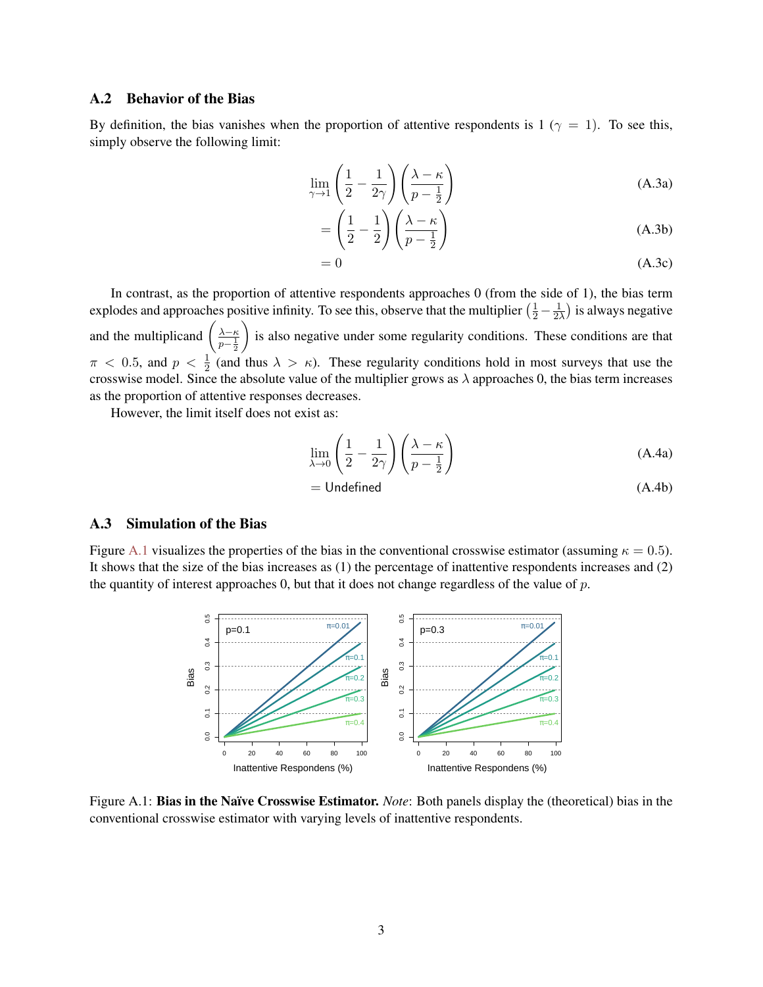### <span id="page-2-0"></span>A.2 Behavior of the Bias

By definition, the bias vanishes when the proportion of attentive respondents is 1 ( $\gamma = 1$ ). To see this, simply observe the following limit:

$$
\lim_{\gamma \to 1} \left( \frac{1}{2} - \frac{1}{2\gamma} \right) \left( \frac{\lambda - \kappa}{p - \frac{1}{2}} \right)
$$
 (A.3a)

$$
= \left(\frac{1}{2} - \frac{1}{2}\right) \left(\frac{\lambda - \kappa}{p - \frac{1}{2}}\right)
$$
 (A.3b)

$$
=0 \tag{A.3c}
$$

In contrast, as the proportion of attentive respondents approaches 0 (from the side of 1), the bias term explodes and approaches positive infinity. To see this, observe that the multiplier  $(\frac{1}{2} - \frac{1}{2})$  $\frac{1}{2\lambda}$ ) is always negative and the multiplicand  $\left(\frac{\lambda - \kappa}{p - \frac{1}{2}}\right)$ is also negative under some regularity conditions. These conditions are that  $\pi$  < 0.5, and  $p < \frac{1}{2}$  (and thus  $\lambda > \kappa$ ). These regularity conditions hold in most surveys that use the crosswise model. Since the absolute value of the multiplier grows as  $\lambda$  approaches 0, the bias term increases as the proportion of attentive responses decreases.

However, the limit itself does not exist as:

$$
\lim_{\lambda \to 0} \left( \frac{1}{2} - \frac{1}{2\gamma} \right) \left( \frac{\lambda - \kappa}{p - \frac{1}{2}} \right)
$$
\n(A.4a)

$$
= Undefined \qquad (A.4b)
$$

### <span id="page-2-1"></span>A.3 Simulation of the Bias

<span id="page-2-2"></span>Figure [A.1](#page-2-2) visualizes the properties of the bias in the conventional crosswise estimator (assuming  $\kappa = 0.5$ ). It shows that the size of the bias increases as (1) the percentage of inattentive respondents increases and (2) the quantity of interest approaches 0, but that it does not change regardless of the value of  $p$ .



Figure A.1: Bias in the Naïve Crosswise Estimator. *Note*: Both panels display the (theoretical) bias in the conventional crosswise estimator with varying levels of inattentive respondents.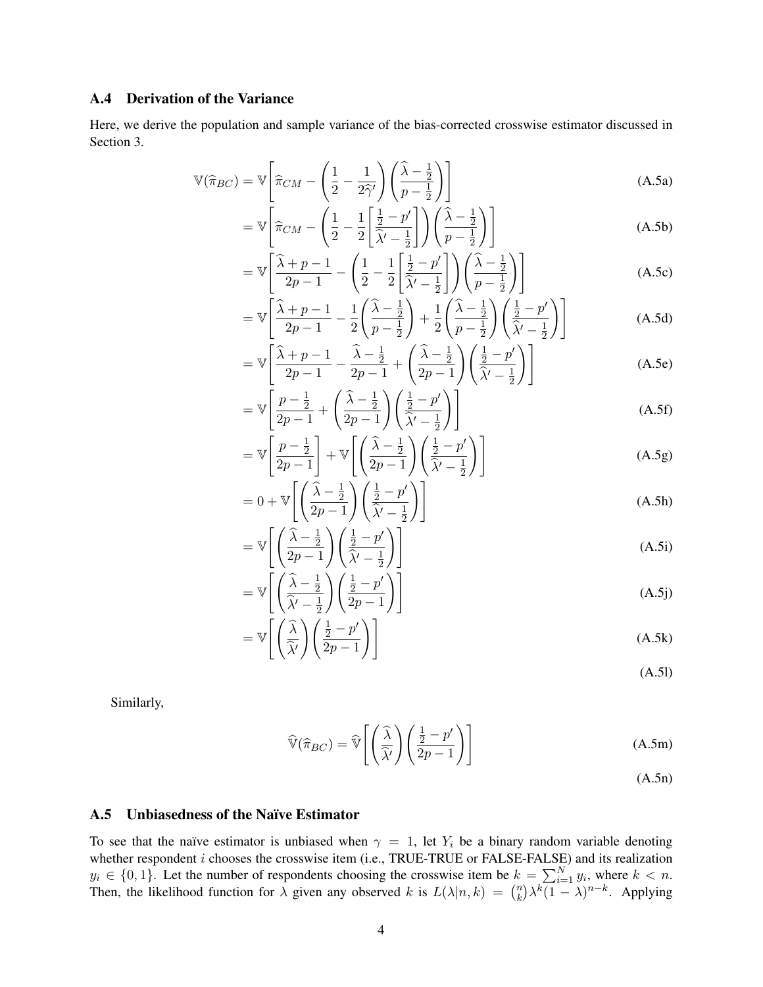### <span id="page-3-0"></span>A.4 Derivation of the Variance

Here, we derive the population and sample variance of the bias-corrected crosswise estimator discussed in Section 3.

$$
\mathbb{V}(\hat{\pi}_{BC}) = \mathbb{V}\left[\hat{\pi}_{CM} - \left(\frac{1}{2} - \frac{1}{2\hat{\gamma}'}\right)\left(\frac{\hat{\lambda} - \frac{1}{2}}{p - \frac{1}{2}}\right)\right]
$$
(A.5a)

$$
= \mathbb{V}\left[\widehat{\pi}_{CM} - \left(\frac{1}{2} - \frac{1}{2} \left[\frac{\frac{1}{2} - p'}{\widehat{\lambda}' - \frac{1}{2}}\right]\right) \left(\frac{\widehat{\lambda} - \frac{1}{2}}{p - \frac{1}{2}}\right)\right]
$$
(A.5b)

$$
= \mathbb{V}\left[\frac{\widehat{\lambda} + p - 1}{2p - 1} - \left(\frac{1}{2} - \frac{1}{2}\left[\frac{\frac{1}{2} - p'}{\widehat{\lambda}' - \frac{1}{2}}\right]\right)\left(\frac{\widehat{\lambda} - \frac{1}{2}}{p - \frac{1}{2}}\right)\right]
$$
(A.5c)

$$
= \mathbb{V}\left[\frac{\widehat{\lambda} + p - 1}{2p - 1} - \frac{1}{2}\left(\frac{\widehat{\lambda} - \frac{1}{2}}{p - \frac{1}{2}}\right) + \frac{1}{2}\left(\frac{\widehat{\lambda} - \frac{1}{2}}{p - \frac{1}{2}}\right)\left(\frac{\frac{1}{2} - p'}{\widehat{\lambda}' - \frac{1}{2}}\right)\right]
$$
(A.5d)

$$
= \mathbb{V}\left[\frac{\widehat{\lambda} + p - 1}{2p - 1} - \frac{\widehat{\lambda} - \frac{1}{2}}{2p - 1} + \left(\frac{\widehat{\lambda} - \frac{1}{2}}{2p - 1}\right)\left(\frac{\frac{1}{2} - p'}{\widehat{\lambda}' - \frac{1}{2}}\right)\right]
$$
(A.5e)

$$
= \mathbb{V}\left[\frac{p-\frac{1}{2}}{2p-1} + \left(\frac{\widehat{\lambda}-\frac{1}{2}}{2p-1}\right)\left(\frac{\frac{1}{2}-p'}{\widehat{\lambda}'-\frac{1}{2}}\right)\right]
$$
(A.5f)

$$
= \mathbb{V}\left[\frac{p-\frac{1}{2}}{2p-1}\right] + \mathbb{V}\left[\left(\frac{\widehat{\lambda}-\frac{1}{2}}{2p-1}\right)\left(\frac{\frac{1}{2}-p'}{\widehat{\lambda}'-\frac{1}{2}}\right)\right]
$$
(A.5g)

$$
= 0 + \mathbb{V}\left[\left(\frac{\widehat{\lambda} - \frac{1}{2}}{2p - 1}\right)\left(\frac{\frac{1}{2} - p'}{\widehat{\lambda}' - \frac{1}{2}}\right)\right]
$$
(A.5h)

$$
= \mathbb{V}\left[\left(\frac{\widehat{\lambda} - \frac{1}{2}}{2p - 1}\right)\left(\frac{\frac{1}{2} - p'}{\widehat{\lambda}' - \frac{1}{2}}\right)\right]
$$
(A.5i)

$$
= \mathbb{V}\left[\left(\frac{\widehat{\lambda} - \frac{1}{2}}{\widehat{\lambda}' - \frac{1}{2}}\right)\left(\frac{\frac{1}{2} - p'}{2p - 1}\right)\right]
$$
(A.5j)

$$
= \mathbb{V}\left[\left(\frac{\widehat{\lambda}}{\widehat{\lambda}'}\right)\left(\frac{\frac{1}{2} - p'}{2p - 1}\right)\right]
$$
(A.5k)

(A.5l)

Similarly,

$$
\widehat{\mathbb{V}}(\widehat{\pi}_{BC}) = \widehat{\mathbb{V}}\left[\left(\frac{\widehat{\lambda}}{\widehat{\lambda}'}\right)\left(\frac{\frac{1}{2} - p'}{2p - 1}\right)\right]
$$
\n(A.5m)

(A.5n)

### <span id="page-3-1"></span>A.5 Unbiasedness of the Naïve Estimator

To see that the naïve estimator is unbiased when  $\gamma = 1$ , let  $Y_i$  be a binary random variable denoting whether respondent  $i$  chooses the crosswise item (i.e., TRUE-TRUE or FALSE-FALSE) and its realization  $y_i \in \{0,1\}$ . Let the number of respondents choosing the crosswise item be  $k = \sum_{i=1}^{N} y_i$ , where  $k < n$ . Then, the likelihood function for  $\lambda$  given any observed k is  $L(\lambda | n, k) = {n \choose k}$  $\sum_{k=1}^{n} \lambda^{k} (1 - \lambda)^{n-k}$ . Applying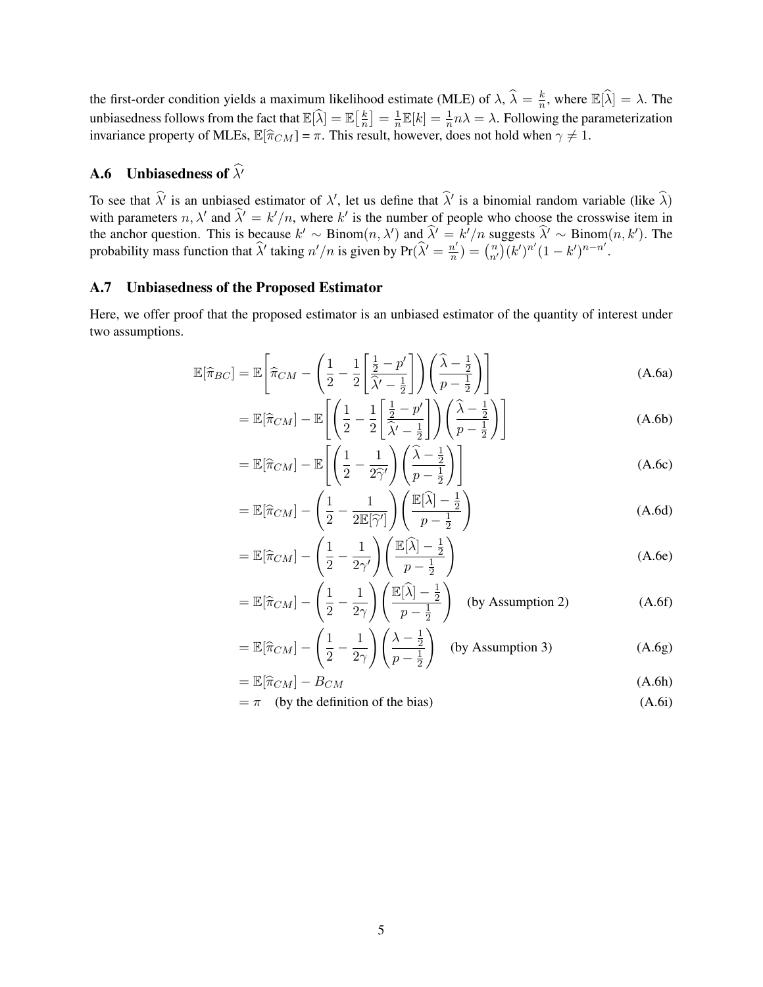the first-order condition yields a maximum likelihood estimate (MLE) of  $\lambda$ ,  $\hat{\lambda} = \frac{k}{n}$  $\frac{k}{n}$ , where  $\mathbb{E}[\widehat{\lambda}] = \lambda$ . The unbiasedness follows from the fact that  $\mathbb{E}[\widehat{\lambda}] = \mathbb{E}[\frac{k}{n}]$  $\left\lfloor \frac{k}{n} \right\rfloor = \frac{1}{n}$  $\frac{1}{n}\mathbb{E}[k] = \frac{1}{n}n\lambda = \lambda$ . Following the parameterization invariance property of MLEs,  $\mathbb{E}[\hat{\pi}_{CM}] = \pi$ . This result, however, does not hold when  $\gamma \neq 1$ .

# <span id="page-4-0"></span>**A.6** Unbiasedness of  $\widehat{\lambda}$ <sup>'</sup>

To see that  $\hat{\lambda}$  is an unbiased estimator of  $\lambda'$ , let us define that  $\hat{\lambda}'$  is a binomial random variable (like  $\hat{\lambda}$ ) with parameters  $n, \lambda'$  and  $\hat{\lambda}' = k'/n$ , where k' is the number of people who choose the crosswise item in the anchor question. This is because  $k' \sim \text{Binom}(n, \lambda')$  and  $\hat{\lambda}' = k'/n$  suggests  $\hat{\lambda}' \sim \text{Binom}(n, k')$ . The probability mass function that  $\hat{\lambda}'$  taking  $n'/n$  is given by  $Pr(\hat{\lambda}') = \frac{n'}{n}$  $\frac{n'}{n}$ ) =  $\binom{n}{n'} (k')^{n'} (1 - k')^{n - n'}.$ 

# <span id="page-4-1"></span>A.7 Unbiasedness of the Proposed Estimator

Here, we offer proof that the proposed estimator is an unbiased estimator of the quantity of interest under two assumptions.

$$
\mathbb{E}[\hat{\pi}_{BC}] = \mathbb{E}\left[\hat{\pi}_{CM} - \left(\frac{1}{2} - \frac{1}{2} \left[\frac{\frac{1}{2} - p'}{\hat{\lambda}' - \frac{1}{2}}\right]\right) \left(\frac{\hat{\lambda} - \frac{1}{2}}{p - \frac{1}{2}}\right)\right]
$$
(A.6a)

$$
= \mathbb{E}[\hat{\pi}_{CM}] - \mathbb{E}\left[\left(\frac{1}{2} - \frac{1}{2} \left[\frac{\frac{1}{2} - p'}{\hat{\lambda}' - \frac{1}{2}}\right]\right) \left(\frac{\hat{\lambda} - \frac{1}{2}}{p - \frac{1}{2}}\right)\right]
$$
(A.6b)

$$
= \mathbb{E}[\hat{\pi}_{CM}] - \mathbb{E}\left[\left(\frac{1}{2} - \frac{1}{2\hat{\gamma}'}\right)\left(\frac{\hat{\lambda} - \frac{1}{2}}{p - \frac{1}{2}}\right)\right]
$$
(A.6c)

$$
= \mathbb{E}[\hat{\pi}_{CM}] - \left(\frac{1}{2} - \frac{1}{2\mathbb{E}[\hat{\gamma}']}\right) \left(\frac{\mathbb{E}[\hat{\lambda}] - \frac{1}{2}}{p - \frac{1}{2}}\right)
$$
(A.6d)

$$
= \mathbb{E}[\hat{\pi}_{CM}] - \left(\frac{1}{2} - \frac{1}{2\gamma'}\right) \left(\frac{\mathbb{E}[\hat{\lambda}] - \frac{1}{2}}{p - \frac{1}{2}}\right)
$$
(A.6e)

$$
= \mathbb{E}[\hat{\pi}_{CM}] - \left(\frac{1}{2} - \frac{1}{2\gamma}\right) \left(\frac{\mathbb{E}[\hat{\lambda}] - \frac{1}{2}}{p - \frac{1}{2}}\right) \quad \text{(by Assumption 2)} \tag{A.6f}
$$

$$
= \mathbb{E}[\hat{\pi}_{CM}] - \left(\frac{1}{2} - \frac{1}{2\gamma}\right) \left(\frac{\lambda - \frac{1}{2}}{p - \frac{1}{2}}\right) \quad \text{(by Assumption 3)} \tag{A.6g}
$$

$$
= \mathbb{E}[\hat{\pi}_{CM}] - B_{CM} \tag{A.6h}
$$

$$
= \pi \quad \text{(by the definition of the bias)} \tag{A.6i}
$$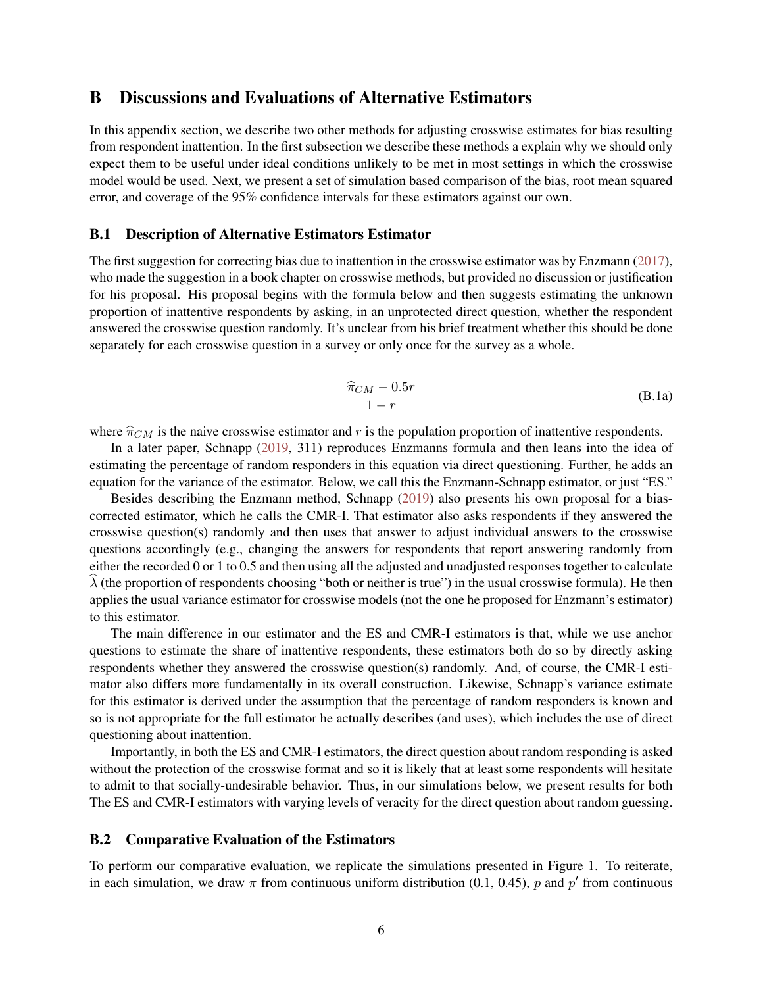# <span id="page-5-0"></span>B Discussions and Evaluations of Alternative Estimators

In this appendix section, we describe two other methods for adjusting crosswise estimates for bias resulting from respondent inattention. In the first subsection we describe these methods a explain why we should only expect them to be useful under ideal conditions unlikely to be met in most settings in which the crosswise model would be used. Next, we present a set of simulation based comparison of the bias, root mean squared error, and coverage of the 95% confidence intervals for these estimators against our own.

### <span id="page-5-1"></span>B.1 Description of Alternative Estimators Estimator

The first suggestion for correcting bias due to inattention in the crosswise estimator was by Enzmann (2017), who made the suggestion in a book chapter on crosswise methods, but provided no discussion or justification for his proposal. His proposal begins with the formula below and then suggests estimating the unknown proportion of inattentive respondents by asking, in an unprotected direct question, whether the respondent answered the crosswise question randomly. It's unclear from his brief treatment whether this should be done separately for each crosswise question in a survey or only once for the survey as a whole.

$$
\frac{\widehat{\pi}_{CM} - 0.5r}{1 - r} \tag{B.1a}
$$

where  $\hat{\pi}_{CM}$  is the naive crosswise estimator and r is the population proportion of inattentive respondents.

In a later paper, Schnapp (2019, 311) reproduces Enzmanns formula and then leans into the idea of estimating the percentage of random responders in this equation via direct questioning. Further, he adds an equation for the variance of the estimator. Below, we call this the Enzmann-Schnapp estimator, or just "ES."

Besides describing the Enzmann method, Schnapp (2019) also presents his own proposal for a biascorrected estimator, which he calls the CMR-I. That estimator also asks respondents if they answered the crosswise question(s) randomly and then uses that answer to adjust individual answers to the crosswise questions accordingly (e.g., changing the answers for respondents that report answering randomly from either the recorded 0 or 1 to 0.5 and then using all the adjusted and unadjusted responses together to calculate  $\lambda$  (the proportion of respondents choosing "both or neither is true") in the usual crosswise formula). He then applies the usual variance estimator for crosswise models (not the one he proposed for Enzmann's estimator) to this estimator.

The main difference in our estimator and the ES and CMR-I estimators is that, while we use anchor questions to estimate the share of inattentive respondents, these estimators both do so by directly asking respondents whether they answered the crosswise question(s) randomly. And, of course, the CMR-I estimator also differs more fundamentally in its overall construction. Likewise, Schnapp's variance estimate for this estimator is derived under the assumption that the percentage of random responders is known and so is not appropriate for the full estimator he actually describes (and uses), which includes the use of direct questioning about inattention.

Importantly, in both the ES and CMR-I estimators, the direct question about random responding is asked without the protection of the crosswise format and so it is likely that at least some respondents will hesitate to admit to that socially-undesirable behavior. Thus, in our simulations below, we present results for both The ES and CMR-I estimators with varying levels of veracity for the direct question about random guessing.

### <span id="page-5-2"></span>B.2 Comparative Evaluation of the Estimators

To perform our comparative evaluation, we replicate the simulations presented in Figure 1. To reiterate, in each simulation, we draw  $\pi$  from continuous uniform distribution (0.1, 0.45), p and p' from continuous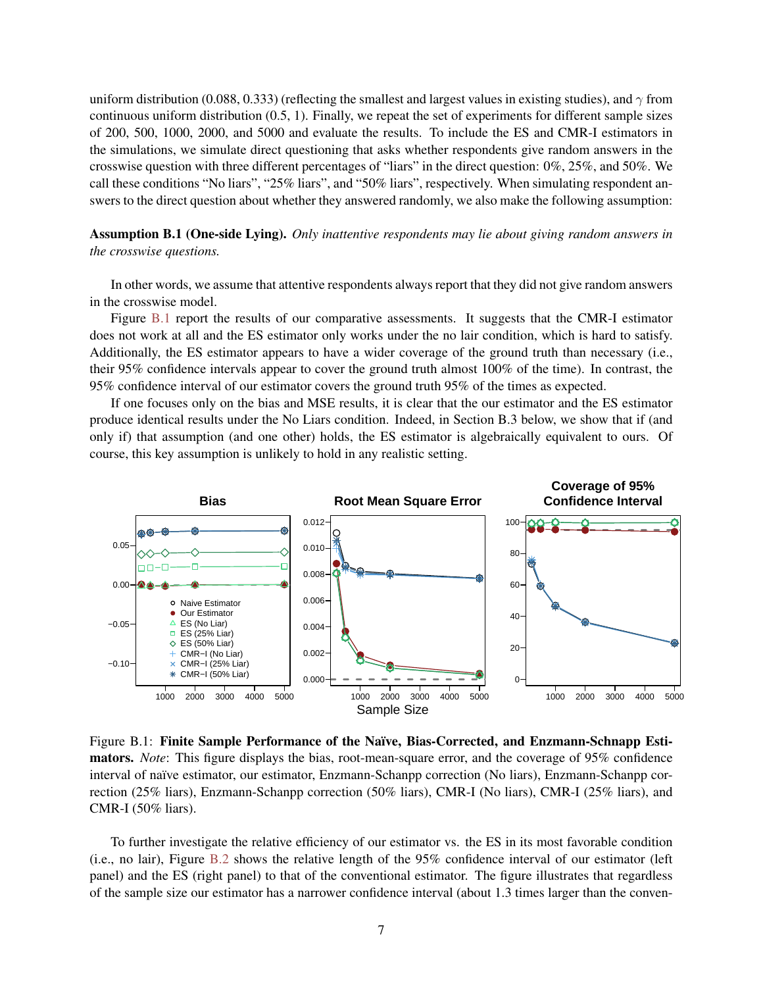uniform distribution (0.088, 0.333) (reflecting the smallest and largest values in existing studies), and  $\gamma$  from continuous uniform distribution (0.5, 1). Finally, we repeat the set of experiments for different sample sizes of 200, 500, 1000, 2000, and 5000 and evaluate the results. To include the ES and CMR-I estimators in the simulations, we simulate direct questioning that asks whether respondents give random answers in the crosswise question with three different percentages of "liars" in the direct question: 0%, 25%, and 50%. We call these conditions "No liars", "25% liars", and "50% liars", respectively. When simulating respondent answers to the direct question about whether they answered randomly, we also make the following assumption:

Assumption B.1 (One-side Lying). *Only inattentive respondents may lie about giving random answers in the crosswise questions.*

In other words, we assume that attentive respondents always report that they did not give random answers in the crosswise model.

Figure [B.1](#page-6-0) report the results of our comparative assessments. It suggests that the CMR-I estimator does not work at all and the ES estimator only works under the no lair condition, which is hard to satisfy. Additionally, the ES estimator appears to have a wider coverage of the ground truth than necessary (i.e., their 95% confidence intervals appear to cover the ground truth almost 100% of the time). In contrast, the 95% confidence interval of our estimator covers the ground truth 95% of the times as expected.

If one focuses only on the bias and MSE results, it is clear that the our estimator and the ES estimator produce identical results under the No Liars condition. Indeed, in Section B.3 below, we show that if (and only if) that assumption (and one other) holds, the ES estimator is algebraically equivalent to ours. Of course, this key assumption is unlikely to hold in any realistic setting.

<span id="page-6-0"></span>

Figure B.1: Finite Sample Performance of the Naïve, Bias-Corrected, and Enzmann-Schnapp Estimators. *Note*: This figure displays the bias, root-mean-square error, and the coverage of 95% confidence interval of naïve estimator, our estimator, Enzmann-Schanpp correction (No liars), Enzmann-Schanpp correction (25% liars), Enzmann-Schanpp correction (50% liars), CMR-I (No liars), CMR-I (25% liars), and CMR-I (50% liars).

To further investigate the relative efficiency of our estimator vs. the ES in its most favorable condition (i.e., no lair), Figure [B.2](#page-7-0) shows the relative length of the 95% confidence interval of our estimator (left panel) and the ES (right panel) to that of the conventional estimator. The figure illustrates that regardless of the sample size our estimator has a narrower confidence interval (about 1.3 times larger than the conven-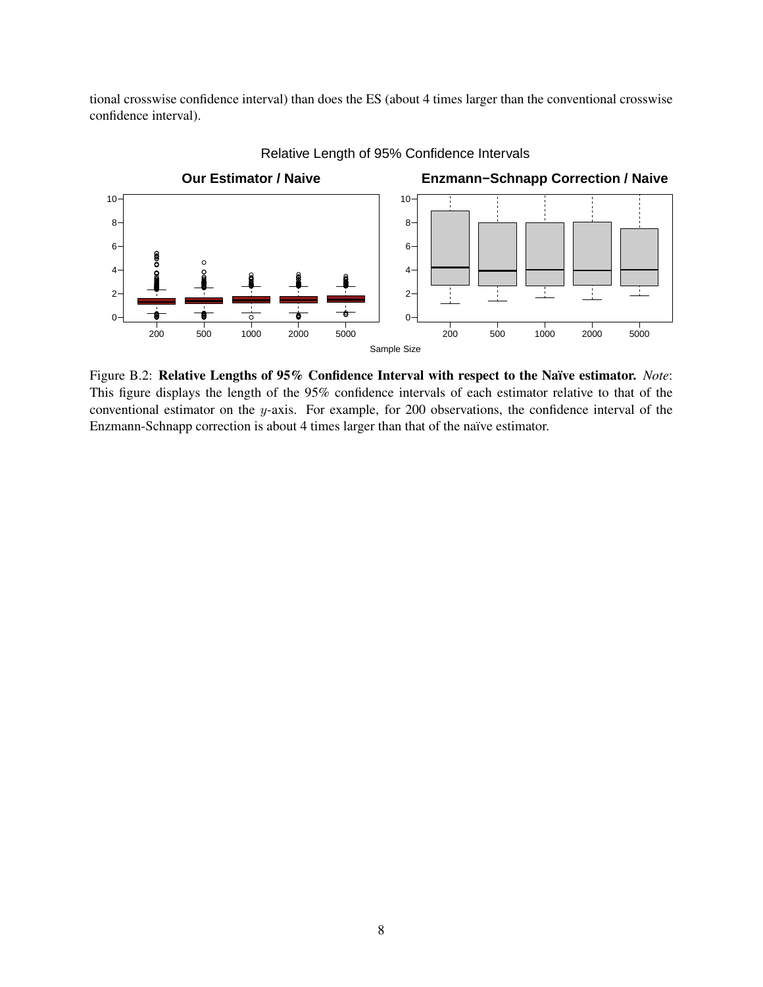tional crosswise confidence interval) than does the ES (about 4 times larger than the conventional crosswise confidence interval).

<span id="page-7-0"></span>

Relative Length of 95% Confidence Intervals

Figure B.2: Relative Lengths of 95% Confidence Interval with respect to the Naïve estimator. *Note*: This figure displays the length of the 95% confidence intervals of each estimator relative to that of the conventional estimator on the  $y$ -axis. For example, for 200 observations, the confidence interval of the Enzmann-Schnapp correction is about 4 times larger than that of the naïve estimator.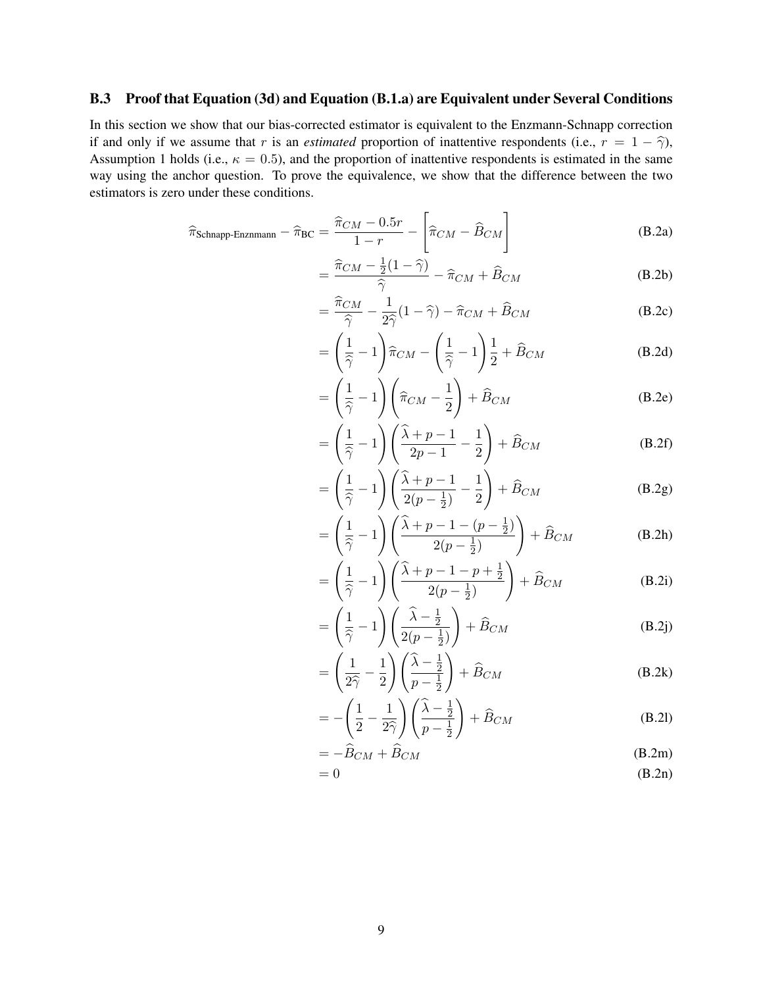# <span id="page-8-0"></span>B.3 Proof that Equation (3d) and Equation (B.1.a) are Equivalent under Several Conditions

In this section we show that our bias-corrected estimator is equivalent to the Enzmann-Schnapp correction if and only if we assume that r is an *estimated* proportion of inattentive respondents (i.e.,  $r = 1 - \hat{\gamma}$ ), Assumption 1 holds (i.e.,  $\kappa = 0.5$ ), and the proportion of inattentive respondents is estimated in the same way using the anchor question. To prove the equivalence, we show that the difference between the two estimators is zero under these conditions.

$$
\widehat{\pi}_{\text{Schnapp-Enznmann}} - \widehat{\pi}_{\text{BC}} = \frac{\widehat{\pi}_{CM} - 0.5r}{1 - r} - \left[\widehat{\pi}_{CM} - \widehat{B}_{CM}\right]
$$
(B.2a)

$$
= \frac{\widehat{\pi}_{CM} - \frac{1}{2}(1-\widehat{\gamma})}{\widehat{\gamma}} - \widehat{\pi}_{CM} + \widehat{B}_{CM}
$$
(B.2b)

$$
= \frac{\widehat{\pi}_{CM}}{\widehat{\gamma}} - \frac{1}{2\widehat{\gamma}} (1 - \widehat{\gamma}) - \widehat{\pi}_{CM} + \widehat{B}_{CM}
$$
(B.2c)

$$
= \left(\frac{1}{\hat{\gamma}} - 1\right)\hat{\pi}_{CM} - \left(\frac{1}{\hat{\gamma}} - 1\right)\frac{1}{2} + \hat{B}_{CM}
$$
 (B.2d)

$$
= \left(\frac{1}{\hat{\gamma}} - 1\right) \left(\hat{\pi}_{CM} - \frac{1}{2}\right) + \hat{B}_{CM}
$$
 (B.2e)

$$
= \left(\frac{1}{\hat{\gamma}} - 1\right) \left(\frac{\hat{\lambda} + p - 1}{2p - 1} - \frac{1}{2}\right) + \hat{B}_{CM}
$$
 (B.2f)

$$
= \left(\frac{1}{\hat{\gamma}} - 1\right) \left(\frac{\hat{\lambda} + p - 1}{2(p - \frac{1}{2})} - \frac{1}{2}\right) + \hat{B}_{CM}
$$
 (B.2g)

$$
= \left(\frac{1}{\hat{\gamma}} - 1\right) \left(\frac{\hat{\lambda} + p - 1 - (p - \frac{1}{2})}{2(p - \frac{1}{2})}\right) + \hat{B}_{CM}
$$
 (B.2h)

$$
= \left(\frac{1}{\hat{2}} - 1\right) \left(\frac{\hat{\lambda} + p - 1 - p + \frac{1}{2}}{2(p - \frac{1}{2})}\right) + \hat{B}_{CM}
$$
 (B.2i)

$$
= \left(\frac{1}{\hat{\gamma}} - 1\right) \left(\frac{\hat{\lambda} - \frac{1}{2}}{2(p - \frac{1}{2})}\right) + \hat{B}_{CM}
$$
 (B.2j)

$$
= \left(\frac{1}{2\widehat{\gamma}} - \frac{1}{2}\right) \left(\frac{\widehat{\lambda} - \frac{1}{2}}{p - \frac{1}{2}}\right) + \widehat{B}_{CM}
$$
 (B.2k)

$$
= -\left(\frac{1}{2} - \frac{1}{2\hat{\gamma}}\right)\left(\frac{\hat{\lambda} - \frac{1}{2}}{p - \frac{1}{2}}\right) + \hat{B}_{CM}
$$
 (B.21)

$$
= -\ddot{B}_{CM} + \ddot{B}_{CM} \tag{B.2m}
$$

$$
= 0 \tag{B.2n}
$$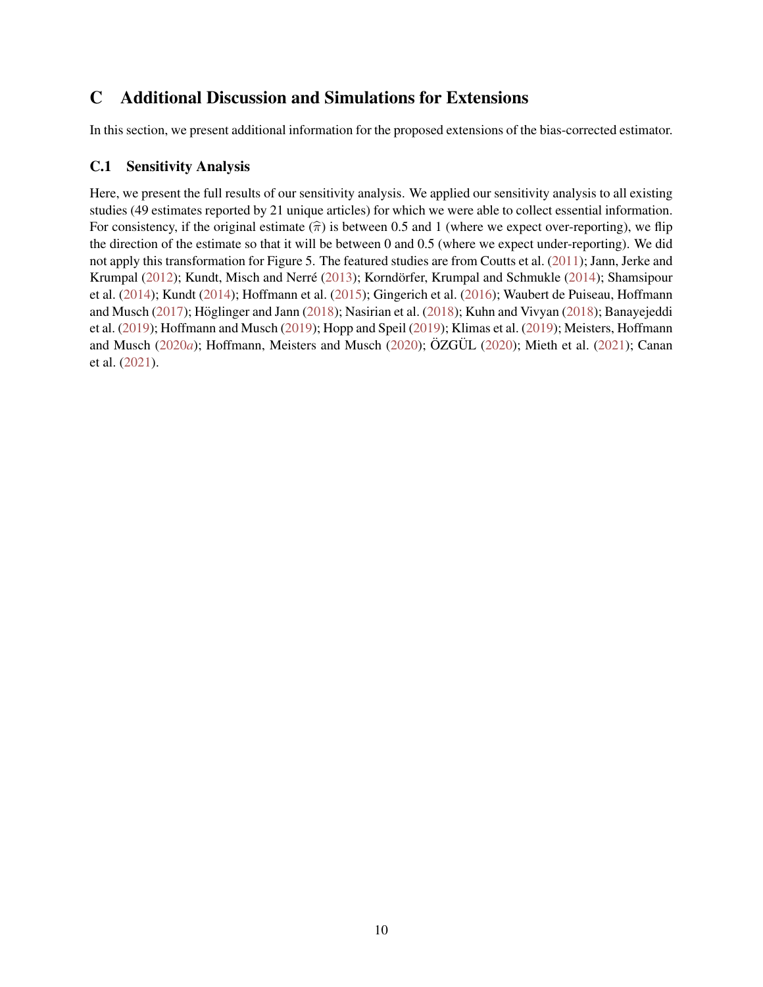# <span id="page-9-0"></span>C Additional Discussion and Simulations for Extensions

In this section, we present additional information for the proposed extensions of the bias-corrected estimator.

## <span id="page-9-1"></span>C.1 Sensitivity Analysis

Here, we present the full results of our sensitivity analysis. We applied our sensitivity analysis to all existing studies (49 estimates reported by 21 unique articles) for which we were able to collect essential information. For consistency, if the original estimate  $(\hat{\pi})$  is between 0.5 and 1 (where we expect over-reporting), we flip the direction of the estimate so that it will be between 0 and 0.5 (where we expect under-reporting). We did not apply this transformation for Figure 5. The featured studies are from Coutts et al. [\(2011\)](#page-22-1); Jann, Jerke and Krumpal (2012); Kundt, Misch and Nerré ([2013\)](#page-23-0); Korndörfer, Krumpal and Schmukle (2014); Shamsipour et al. [\(2014\)](#page-24-0); Kundt (2014); Hoffmann et al. (2015); Gingerich et al. (2016); Waubert de Puiseau, Hoffmann and Musch ( $2017$ ); Höglinger and Jann ( $2018$ ); Nasirian et al. ( $2018$ ); Kuhn and Vivyan ( $2018$ ); Banayejeddi et al. [\(2019\)](#page-22-2); Hoffmann and Musch (2019); Hopp and Speil [\(2019\)](#page-23-1); Klimas et al. [\(2019\)](#page-23-2); Meisters, Hoffmann and Musch (2020*a*); Hoffmann, Meisters and Musch ([2020\)](#page-24-1); ÖZGÜL (2020); Mieth et al. [\(2021\)](#page-24-2); Canan et al. [\(2021\)](#page-22-3).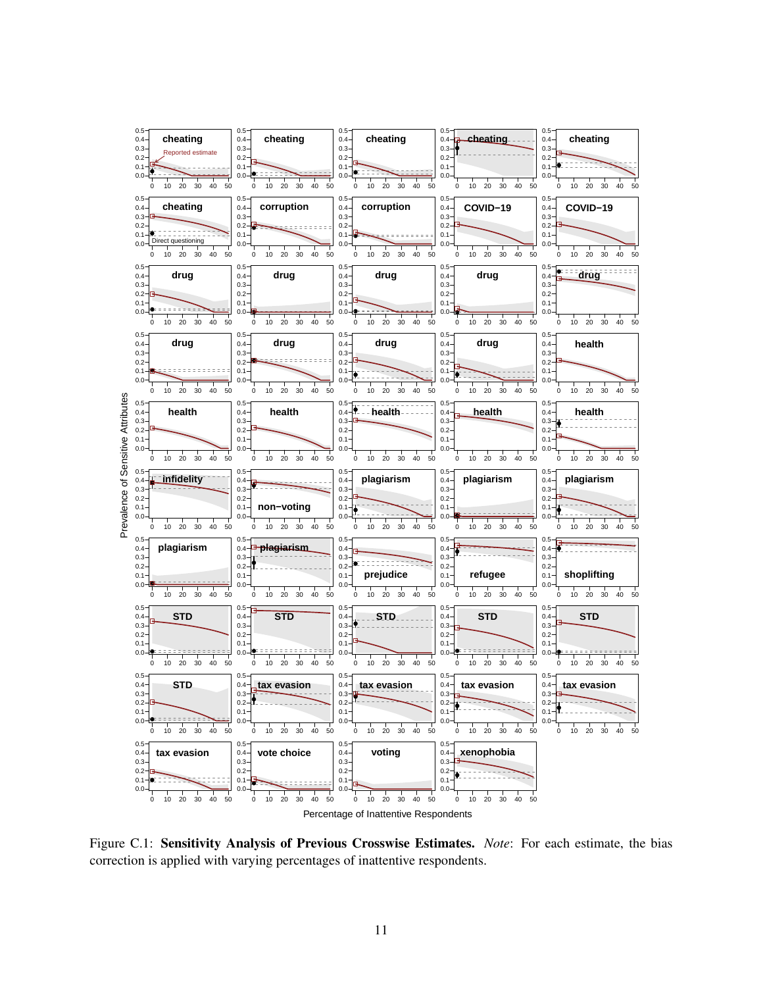

Figure C.1: Sensitivity Analysis of Previous Crosswise Estimates. *Note*: For each estimate, the bias correction is applied with varying percentages of inattentive respondents.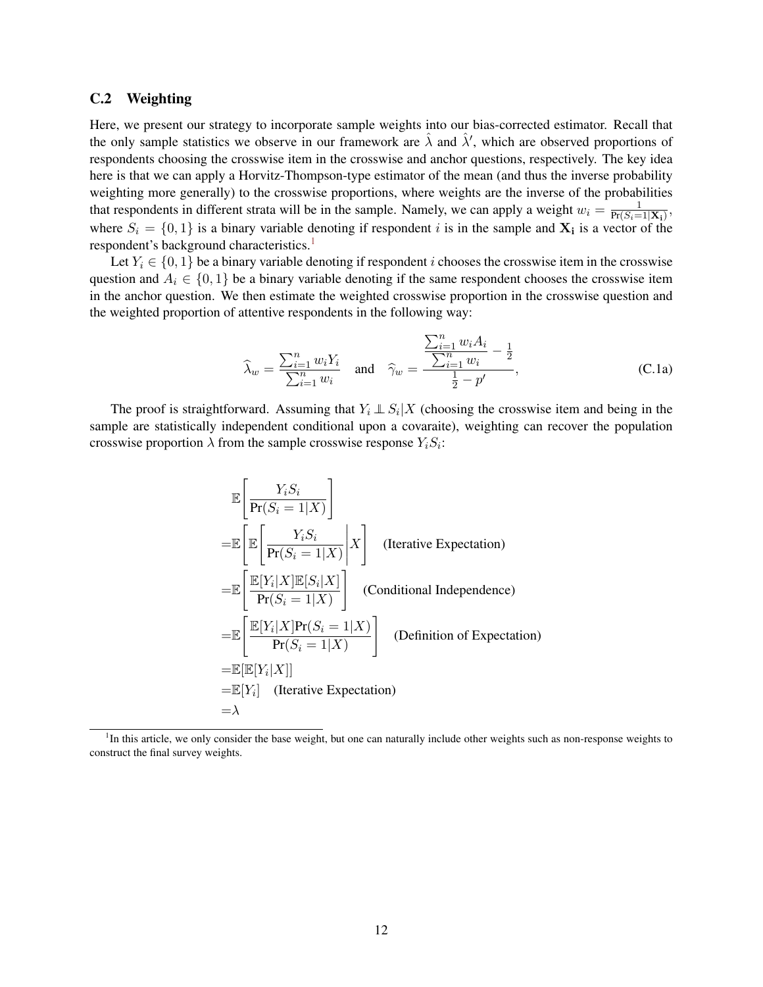### <span id="page-11-0"></span>C.2 Weighting

Here, we present our strategy to incorporate sample weights into our bias-corrected estimator. Recall that the only sample statistics we observe in our framework are  $\hat{\lambda}$  and  $\hat{\lambda}'$ , which are observed proportions of respondents choosing the crosswise item in the crosswise and anchor questions, respectively. The key idea here is that we can apply a Horvitz-Thompson-type estimator of the mean (and thus the inverse probability weighting more generally) to the crosswise proportions, where weights are the inverse of the probabilities that respondents in different strata will be in the sample. Namely, we can apply a weight  $w_i = \frac{1}{Pr(S_i = 1)}$  $\frac{1}{\Pr(S_i=1|\mathbf{X_i})},$ where  $S_i = \{0, 1\}$  is a binary variable denoting if respondent i is in the sample and  $X_i$  is a vector of the respondent's background characteristics.<sup>[1](#page-11-1)</sup>

Let  $Y_i \in \{0, 1\}$  be a binary variable denoting if respondent *i* chooses the crosswise item in the crosswise question and  $A_i \in \{0,1\}$  be a binary variable denoting if the same respondent chooses the crosswise item in the anchor question. We then estimate the weighted crosswise proportion in the crosswise question and the weighted proportion of attentive respondents in the following way:

$$
\widehat{\lambda}_w = \frac{\sum_{i=1}^n w_i Y_i}{\sum_{i=1}^n w_i} \quad \text{and} \quad \widehat{\gamma}_w = \frac{\frac{\sum_{i=1}^n w_i A_i}{\sum_{i=1}^n w_i} - \frac{1}{2}}{\frac{1}{2} - p'}, \tag{C.1a}
$$

The proof is straightforward. Assuming that  $Y_i \perp S_i | X$  (choosing the crosswise item and being in the sample are statistically independent conditional upon a covaraite), weighting can recover the population crosswise proportion  $\lambda$  from the sample crosswise response  $Y_i S_i$ :

$$
\mathbb{E}\left[\frac{Y_i S_i}{\Pr(S_i = 1|X)}\right]
$$
\n
$$
= \mathbb{E}\left[\mathbb{E}\left[\frac{Y_i S_i}{\Pr(S_i = 1|X)}\middle|X\right] \quad \text{(Iterative Expectation)}
$$
\n
$$
= \mathbb{E}\left[\frac{\mathbb{E}[Y_i|X]\mathbb{E}[S_i|X]}{\Pr(S_i = 1|X)}\right] \quad \text{(Conditional Independence)}
$$
\n
$$
= \mathbb{E}\left[\frac{\mathbb{E}[Y_i|X]\Pr(S_i = 1|X)}{\Pr(S_i = 1|X)}\right] \quad \text{(Definition of Expectation)}
$$
\n
$$
= \mathbb{E}[\mathbb{E}[Y_i|X]]
$$
\n
$$
= \mathbb{E}[Y_i] \quad \text{(Iterative Expectation)}
$$
\n
$$
= \lambda
$$

<span id="page-11-1"></span><sup>&</sup>lt;sup>1</sup>In this article, we only consider the base weight, but one can naturally include other weights such as non-response weights to construct the final survey weights.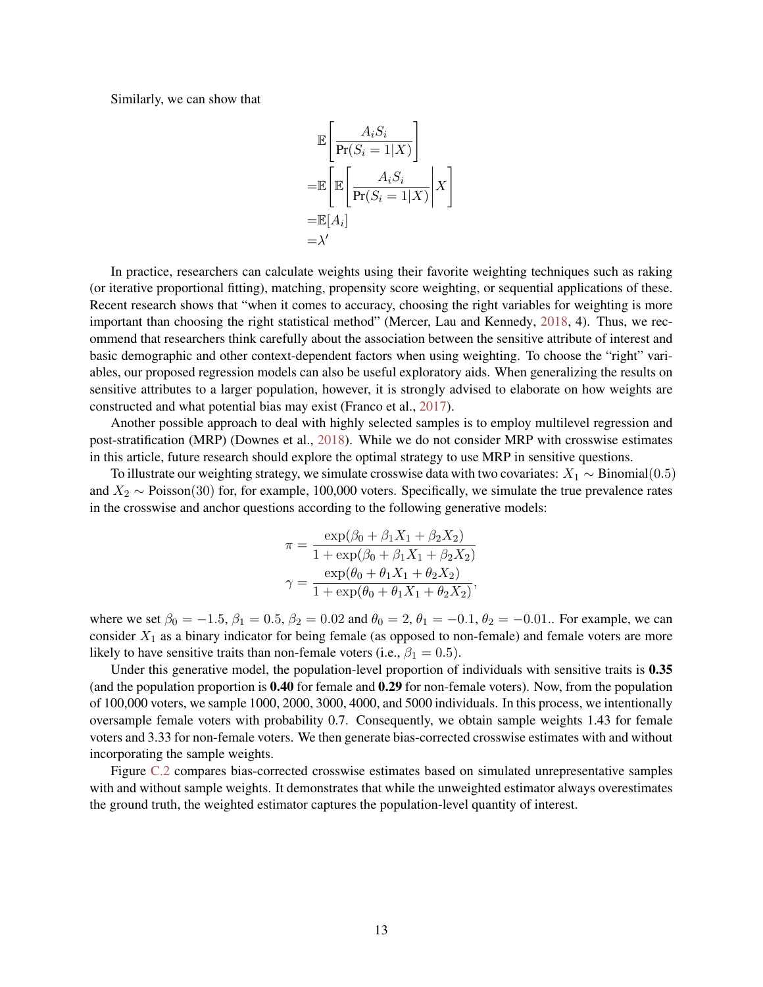Similarly, we can show that

$$
\mathbb{E}\left[\frac{A_i S_i}{\Pr(S_i = 1 | X)}\right]
$$
\n
$$
= \mathbb{E}\left[\mathbb{E}\left[\frac{A_i S_i}{\Pr(S_i = 1 | X)}\middle| X\right]\right]
$$
\n
$$
= \mathbb{E}[A_i]
$$
\n
$$
= \lambda'
$$

In practice, researchers can calculate weights using their favorite weighting techniques such as raking (or iterative proportional fitting), matching, propensity score weighting, or sequential applications of these. Recent research shows that "when it comes to accuracy, choosing the right variables for weighting is more important than choosing the right statistical method" (Mercer, Lau and Kennedy, 2018, 4). Thus, we recommend that researchers think carefully about the association between the sensitive attribute of interest and basic demographic and other context-dependent factors when using weighting. To choose the "right" variables, our proposed regression models can also be useful exploratory aids. When generalizing the results on sensitive attributes to a larger population, however, it is strongly advised to elaborate on how weights are constructed and what potential bias may exist (Franco et al., 2017).

Another possible approach to deal with highly selected samples is to employ multilevel regression and post-stratification (MRP) (Downes et al., [2018\)](#page-23-3). While we do not consider MRP with crosswise estimates in this article, future research should explore the optimal strategy to use MRP in sensitive questions.

To illustrate our weighting strategy, we simulate crosswise data with two covariates:  $X_1 \sim Binomial(0.5)$ and  $X_2 \sim \text{Poisson}(30)$  for, for example, 100,000 voters. Specifically, we simulate the true prevalence rates in the crosswise and anchor questions according to the following generative models:

$$
\pi = \frac{\exp(\beta_0 + \beta_1 X_1 + \beta_2 X_2)}{1 + \exp(\beta_0 + \beta_1 X_1 + \beta_2 X_2)}
$$

$$
\gamma = \frac{\exp(\theta_0 + \theta_1 X_1 + \theta_2 X_2)}{1 + \exp(\theta_0 + \theta_1 X_1 + \theta_2 X_2)},
$$

where we set  $\beta_0 = -1.5$ ,  $\beta_1 = 0.5$ ,  $\beta_2 = 0.02$  and  $\theta_0 = 2$ ,  $\theta_1 = -0.1$ ,  $\theta_2 = -0.01$ . For example, we can consider  $X_1$  as a binary indicator for being female (as opposed to non-female) and female voters are more likely to have sensitive traits than non-female voters (i.e.,  $\beta_1 = 0.5$ ).

Under this generative model, the population-level proportion of individuals with sensitive traits is 0.35 (and the population proportion is 0.40 for female and 0.29 for non-female voters). Now, from the population of 100,000 voters, we sample 1000, 2000, 3000, 4000, and 5000 individuals. In this process, we intentionally oversample female voters with probability 0.7. Consequently, we obtain sample weights 1.43 for female voters and 3.33 for non-female voters. We then generate bias-corrected crosswise estimates with and without incorporating the sample weights.

Figure [C.2](#page-13-1) compares bias-corrected crosswise estimates based on simulated unrepresentative samples with and without sample weights. It demonstrates that while the unweighted estimator always overestimates the ground truth, the weighted estimator captures the population-level quantity of interest.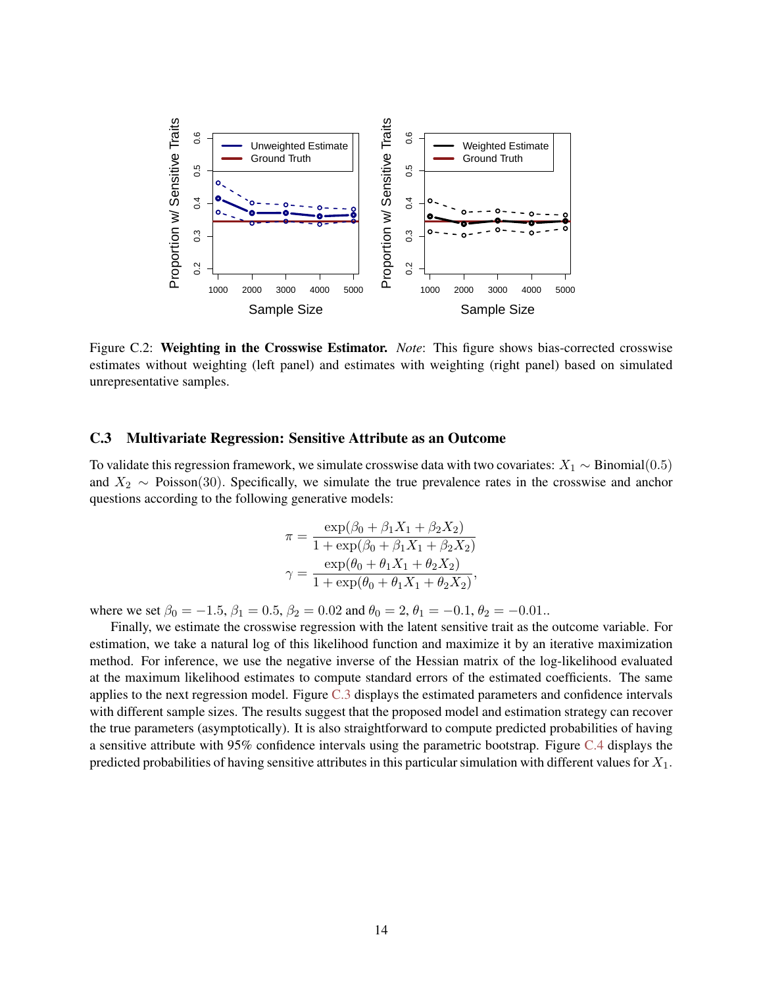<span id="page-13-1"></span>

Figure C.2: Weighting in the Crosswise Estimator. *Note*: This figure shows bias-corrected crosswise estimates without weighting (left panel) and estimates with weighting (right panel) based on simulated unrepresentative samples.

### <span id="page-13-0"></span>C.3 Multivariate Regression: Sensitive Attribute as an Outcome

To validate this regression framework, we simulate crosswise data with two covariates:  $X_1 \sim Binomial(0.5)$ and  $X_2 \sim \text{Poisson}(30)$ . Specifically, we simulate the true prevalence rates in the crosswise and anchor questions according to the following generative models:

$$
\pi = \frac{\exp(\beta_0 + \beta_1 X_1 + \beta_2 X_2)}{1 + \exp(\beta_0 + \beta_1 X_1 + \beta_2 X_2)}
$$

$$
\gamma = \frac{\exp(\theta_0 + \theta_1 X_1 + \theta_2 X_2)}{1 + \exp(\theta_0 + \theta_1 X_1 + \theta_2 X_2)},
$$

where we set  $\beta_0 = -1.5$ ,  $\beta_1 = 0.5$ ,  $\beta_2 = 0.02$  and  $\theta_0 = 2$ ,  $\theta_1 = -0.1$ ,  $\theta_2 = -0.01$ ..

Finally, we estimate the crosswise regression with the latent sensitive trait as the outcome variable. For estimation, we take a natural log of this likelihood function and maximize it by an iterative maximization method. For inference, we use the negative inverse of the Hessian matrix of the log-likelihood evaluated at the maximum likelihood estimates to compute standard errors of the estimated coefficients. The same applies to the next regression model. Figure [C.3](#page-14-1) displays the estimated parameters and confidence intervals with different sample sizes. The results suggest that the proposed model and estimation strategy can recover the true parameters (asymptotically). It is also straightforward to compute predicted probabilities of having a sensitive attribute with 95% confidence intervals using the parametric bootstrap. Figure [C.4](#page-14-2) displays the predicted probabilities of having sensitive attributes in this particular simulation with different values for  $X_1$ .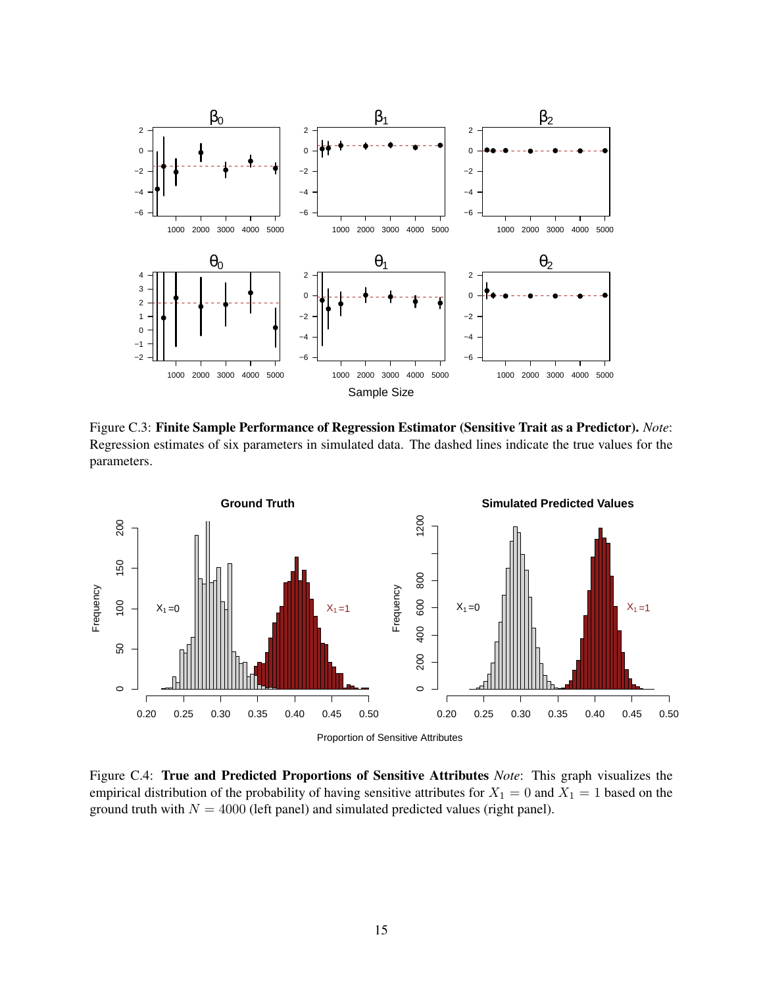<span id="page-14-1"></span>

Figure C.3: Finite Sample Performance of Regression Estimator (Sensitive Trait as a Predictor). *Note*: Regression estimates of six parameters in simulated data. The dashed lines indicate the true values for the parameters.

<span id="page-14-2"></span>

<span id="page-14-0"></span>Figure C.4: True and Predicted Proportions of Sensitive Attributes *Note*: This graph visualizes the empirical distribution of the probability of having sensitive attributes for  $X_1 = 0$  and  $X_1 = 1$  based on the ground truth with  $N = 4000$  (left panel) and simulated predicted values (right panel).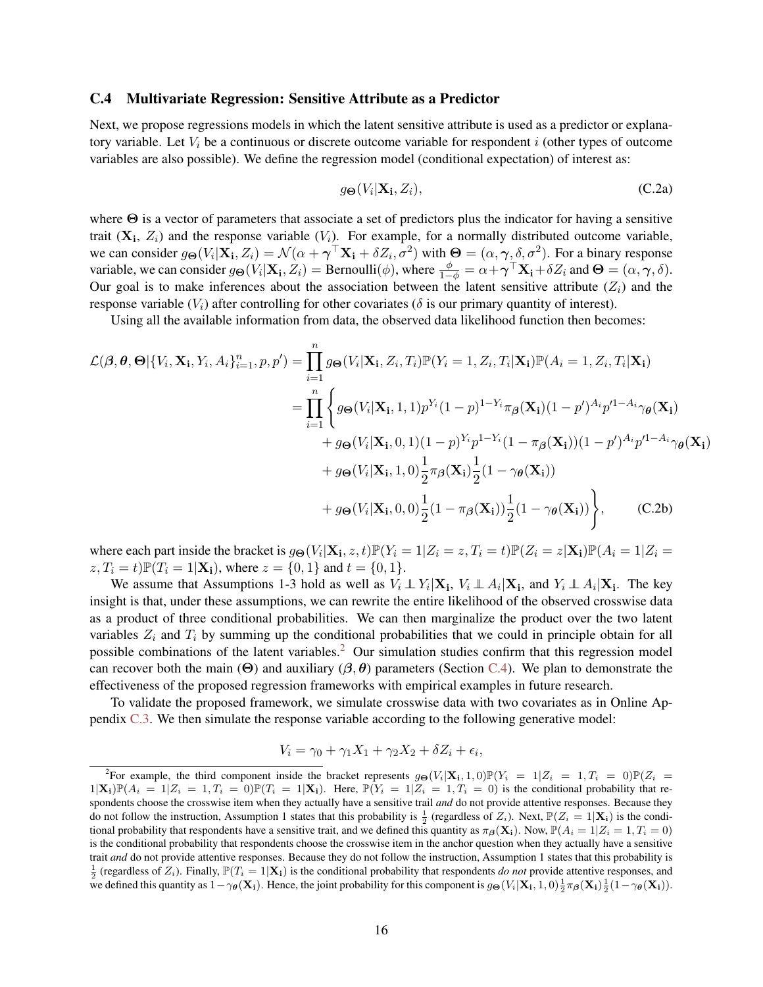#### C.4 Multivariate Regression: Sensitive Attribute as a Predictor

Next, we propose regressions models in which the latent sensitive attribute is used as a predictor or explanatory variable. Let  $V_i$  be a continuous or discrete outcome variable for respondent i (other types of outcome variables are also possible). We define the regression model (conditional expectation) of interest as:

$$
g_{\Theta}(V_i|\mathbf{X_i}, Z_i),\tag{C.2a}
$$

where  $\Theta$  is a vector of parameters that associate a set of predictors plus the indicator for having a sensitive trait  $(X_i, Z_i)$  and the response variable  $(V_i)$ . For example, for a normally distributed outcome variable, we can consider  $g_{\Theta}(V_i|\mathbf{X_i}, Z_i) = \mathcal{N}(\alpha + \boldsymbol{\gamma}^\top \mathbf{X_i} + \delta Z_i, \sigma^2)$  with  $\Theta = (\alpha, \boldsymbol{\gamma}, \delta, \sigma^2)$ . For a binary response variable, we can consider  $g_{\Theta}(V_i|\mathbf{X_i}, Z_i) = \text{Bernoulli}(\phi)$ , where  $\frac{\phi}{1-\phi} = \alpha + \gamma^{\top} \mathbf{X_i} + \delta Z_i$  and  $\Theta = (\alpha, \gamma, \delta)$ . Our goal is to make inferences about the association between the latent sensitive attribute  $(Z_i)$  and the response variable  $(V_i)$  after controlling for other covariates ( $\delta$  is our primary quantity of interest).

Using all the available information from data, the observed data likelihood function then becomes:

$$
\mathcal{L}(\beta, \theta, \Theta | \{V_i, \mathbf{X_i}, Y_i, A_i\}_{i=1}^n, p, p') = \prod_{i=1}^n g_{\Theta}(V_i | \mathbf{X_i}, Z_i, T_i) \mathbb{P}(Y_i = 1, Z_i, T_i | \mathbf{X_i}) \mathbb{P}(A_i = 1, Z_i, T_i | \mathbf{X_i})
$$
\n
$$
= \prod_{i=1}^n \left\{ g_{\Theta}(V_i | \mathbf{X_i}, 1, 1) p^{Y_i} (1 - p)^{1 - Y_i} \pi_{\beta}(\mathbf{X_i}) (1 - p')^{A_i} p'^{1 - A_i} \gamma_{\theta}(\mathbf{X_i}) + g_{\Theta}(V_i | \mathbf{X_i}, 0, 1) (1 - p)^{Y_i} p^{1 - Y_i} (1 - \pi_{\beta}(\mathbf{X_i})) (1 - p')^{A_i} p'^{1 - A_i} \gamma_{\theta}(\mathbf{X_i}) + g_{\Theta}(V_i | \mathbf{X_i}, 1, 0) \frac{1}{2} \pi_{\beta}(\mathbf{X_i}) \frac{1}{2} (1 - \gamma_{\theta}(\mathbf{X_i})) + g_{\Theta}(V_i | \mathbf{X_i}, 0, 0) \frac{1}{2} (1 - \pi_{\beta}(\mathbf{X_i})) \frac{1}{2} (1 - \gamma_{\theta}(\mathbf{X_i})) \right\}, \qquad (C.2b)
$$

where each part inside the bracket is  $g_{\Theta}(V_i|\mathbf{X_i}, z, t) \mathbb{P}(Y_i = 1 | Z_i = z, T_i = t) \mathbb{P}(Z_i = z | \mathbf{X_i}) \mathbb{P}(A_i = 1 | Z_i = z, T_i = t)$  $z, T_i = t$ ) $\mathbb{P}(T_i = 1 | \mathbf{X_i})$ , where  $z = \{0, 1\}$  and  $t = \{0, 1\}$ .

We assume that Assumptions 1-3 hold as well as  $V_i \perp V_i | \mathbf{X_i}$ ,  $V_i \perp A_i | \mathbf{X_i}$ , and  $Y_i \perp A_i | \mathbf{X_i}$ . The key insight is that, under these assumptions, we can rewrite the entire likelihood of the observed crosswise data as a product of three conditional probabilities. We can then marginalize the product over the two latent variables  $Z_i$  and  $T_i$  by summing up the conditional probabilities that we could in principle obtain for all possible combinations of the latent variables.<sup>[2](#page-15-0)</sup> Our simulation studies confirm that this regression model can recover both the main  $(\Theta)$  and auxiliary  $(\beta, \theta)$  parameters (Section [C.4\)](#page-14-0). We plan to demonstrate the effectiveness of the proposed regression frameworks with empirical examples in future research.

To validate the proposed framework, we simulate crosswise data with two covariates as in Online Appendix [C.3.](#page-13-0) We then simulate the response variable according to the following generative model:

$$
V_i = \gamma_0 + \gamma_1 X_1 + \gamma_2 X_2 + \delta Z_i + \epsilon_i,
$$

<span id="page-15-0"></span><sup>&</sup>lt;sup>2</sup>For example, the third component inside the bracket represents  $g_{\Theta}(V_i|\mathbf{X_i}, 1, 0) \mathbb{P}(Y_i = 1 | Z_i = 1, T_i = 0) \mathbb{P}(Z_i = 1 | Z_i = 1, T_i = 0)$  $1|\mathbf{X_i})\mathbb{P}(A_i = 1|Z_i = 1, T_i = 0)\mathbb{P}(T_i = 1|\mathbf{X_i})$ . Here,  $\mathbb{P}(Y_i = 1|Z_i = 1, T_i = 0)$  is the conditional probability that respondents choose the crosswise item when they actually have a sensitive trail *and* do not provide attentive responses. Because they do not follow the instruction, Assumption 1 states that this probability is  $\frac{1}{2}$  (regardless of  $Z_i$ ). Next,  $\mathbb{P}(Z_i = 1|\mathbf{X_i})$  is the conditional probability that respondents have a sensitive trait, and we defined this quantity as  $\pi_{\beta}(\mathbf{X}_i)$ . Now,  $\mathbb{P}(A_i = 1 | Z_i = 1, T_i = 0)$ is the conditional probability that respondents choose the crosswise item in the anchor question when they actually have a sensitive trait *and* do not provide attentive responses. Because they do not follow the instruction, Assumption 1 states that this probability is  $\frac{1}{2}$  (regardless of  $Z_i$ ). Finally,  $\mathbb{P}(T_i = 1 | \mathbf{X_i})$  is the conditional probability that respondents *do not* provide attentive responses, and we defined this quantity as  $1-\gamma_{\theta}(\mathbf{X_i})$ . Hence, the joint probability for this component is  $g_{\Theta}(V_i|\mathbf{X_i}, 1, 0) \frac{1}{2} \pi_{\theta}(\mathbf{X_i}) \frac{1}{2}(1-\gamma_{\theta}(\mathbf{X_i}))$ .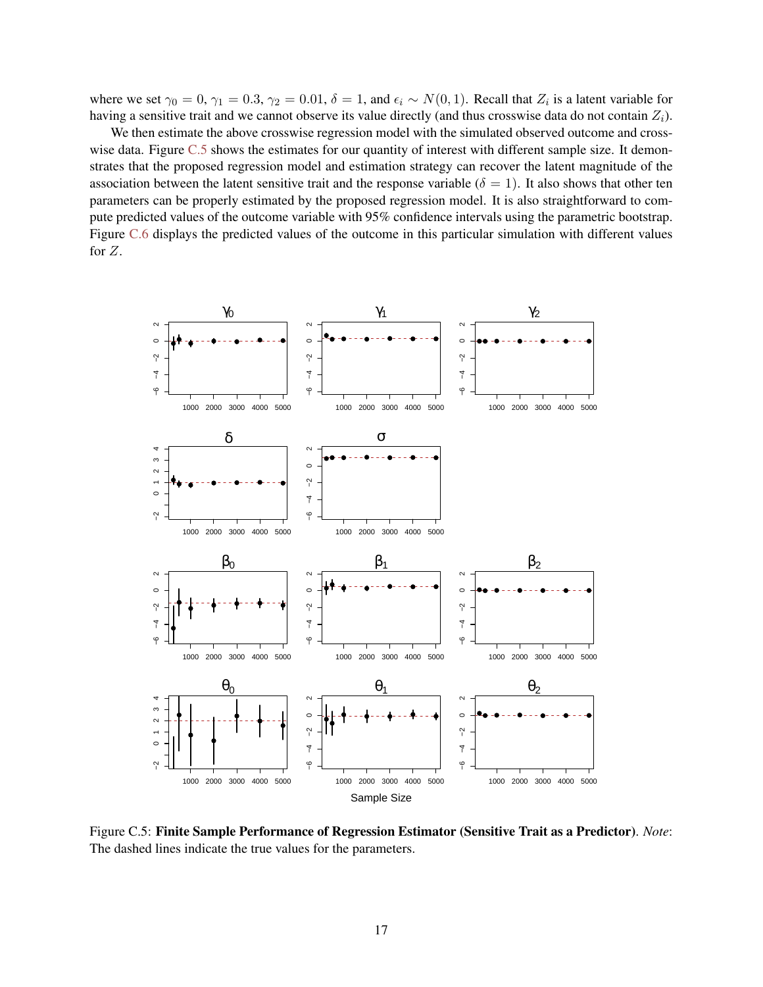where we set  $\gamma_0 = 0$ ,  $\gamma_1 = 0.3$ ,  $\gamma_2 = 0.01$ ,  $\delta = 1$ , and  $\epsilon_i \sim N(0, 1)$ . Recall that  $Z_i$  is a latent variable for having a sensitive trait and we cannot observe its value directly (and thus crosswise data do not contain  $Z_i$ ).

We then estimate the above crosswise regression model with the simulated observed outcome and cross-wise data. Figure [C.5](#page-16-0) shows the estimates for our quantity of interest with different sample size. It demonstrates that the proposed regression model and estimation strategy can recover the latent magnitude of the association between the latent sensitive trait and the response variable ( $\delta = 1$ ). It also shows that other ten parameters can be properly estimated by the proposed regression model. It is also straightforward to compute predicted values of the outcome variable with 95% confidence intervals using the parametric bootstrap. Figure [C.6](#page-17-1) displays the predicted values of the outcome in this particular simulation with different values for Z.

<span id="page-16-0"></span>

Figure C.5: Finite Sample Performance of Regression Estimator (Sensitive Trait as a Predictor). *Note*: The dashed lines indicate the true values for the parameters.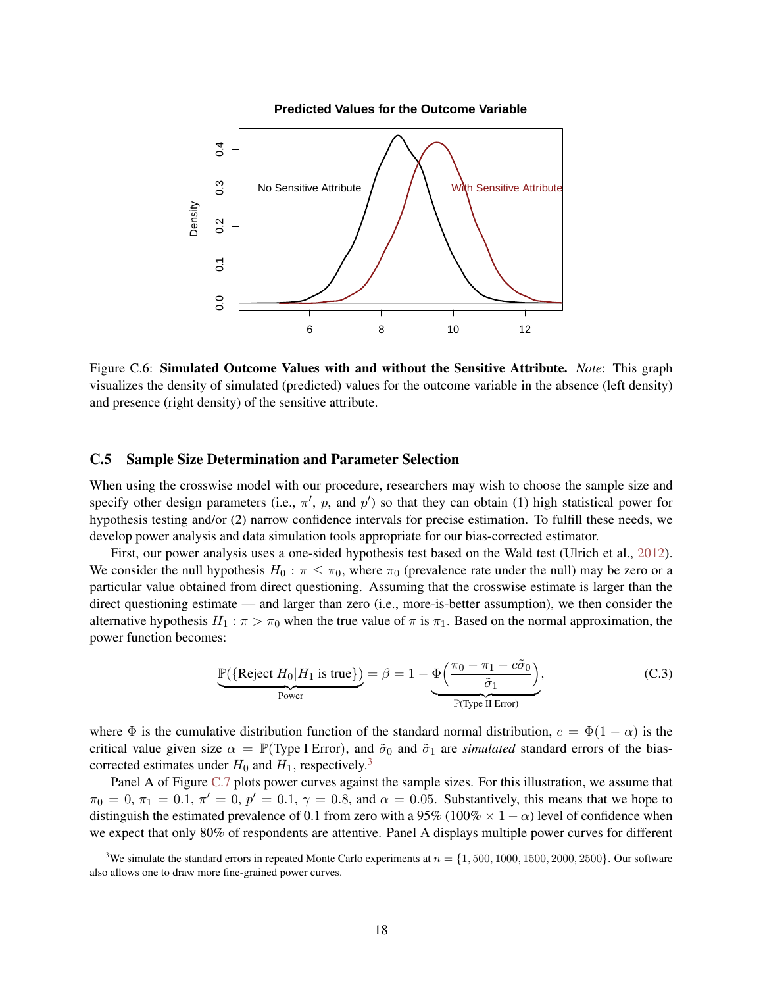<span id="page-17-1"></span>

Figure C.6: Simulated Outcome Values with and without the Sensitive Attribute. *Note*: This graph visualizes the density of simulated (predicted) values for the outcome variable in the absence (left density) and presence (right density) of the sensitive attribute.

### <span id="page-17-0"></span>C.5 Sample Size Determination and Parameter Selection

When using the crosswise model with our procedure, researchers may wish to choose the sample size and specify other design parameters (i.e.,  $\pi'$ , p, and p') so that they can obtain (1) high statistical power for hypothesis testing and/or (2) narrow confidence intervals for precise estimation. To fulfill these needs, we develop power analysis and data simulation tools appropriate for our bias-corrected estimator.

First, our power analysis uses a one-sided hypothesis test based on the Wald test (Ulrich et al., [2012\)](#page-24-3). We consider the null hypothesis  $H_0 : \pi \leq \pi_0$ , where  $\pi_0$  (prevalence rate under the null) may be zero or a particular value obtained from direct questioning. Assuming that the crosswise estimate is larger than the direct questioning estimate — and larger than zero (i.e., more-is-better assumption), we then consider the alternative hypothesis  $H_1$ :  $\pi > \pi_0$  when the true value of  $\pi$  is  $\pi_1$ . Based on the normal approximation, the power function becomes:

$$
\underbrace{\mathbb{P}(\{\text{Reject } H_0 | H_1 \text{ is true}\})}_{\text{Power}} = \beta = 1 - \underbrace{\Phi\left(\frac{\pi_0 - \pi_1 - c\tilde{\sigma}_0}{\tilde{\sigma}_1}\right)}_{\mathbb{P}(\text{Type II Error})},
$$
(C.3)

where  $\Phi$  is the cumulative distribution function of the standard normal distribution,  $c = \Phi(1 - \alpha)$  is the critical value given size  $\alpha = \mathbb{P}(\text{Type I Error})$ , and  $\tilde{\sigma}_0$  and  $\tilde{\sigma}_1$  are *simulated* standard errors of the biascorrected estimates under  $H_0$  and  $H_1$ , respectively.<sup>[3](#page-17-2)</sup>

Panel A of Figure [C.7](#page-18-1) plots power curves against the sample sizes. For this illustration, we assume that  $\pi_0 = 0$ ,  $\pi_1 = 0.1$ ,  $\pi' = 0$ ,  $p' = 0.1$ ,  $\gamma = 0.8$ , and  $\alpha = 0.05$ . Substantively, this means that we hope to distinguish the estimated prevalence of 0.1 from zero with a 95% (100%  $\times$  1 –  $\alpha$ ) level of confidence when we expect that only 80% of respondents are attentive. Panel A displays multiple power curves for different

<span id="page-17-2"></span><sup>&</sup>lt;sup>3</sup>We simulate the standard errors in repeated Monte Carlo experiments at  $n = \{1, 500, 1000, 1500, 2000, 2500\}$ . Our software also allows one to draw more fine-grained power curves.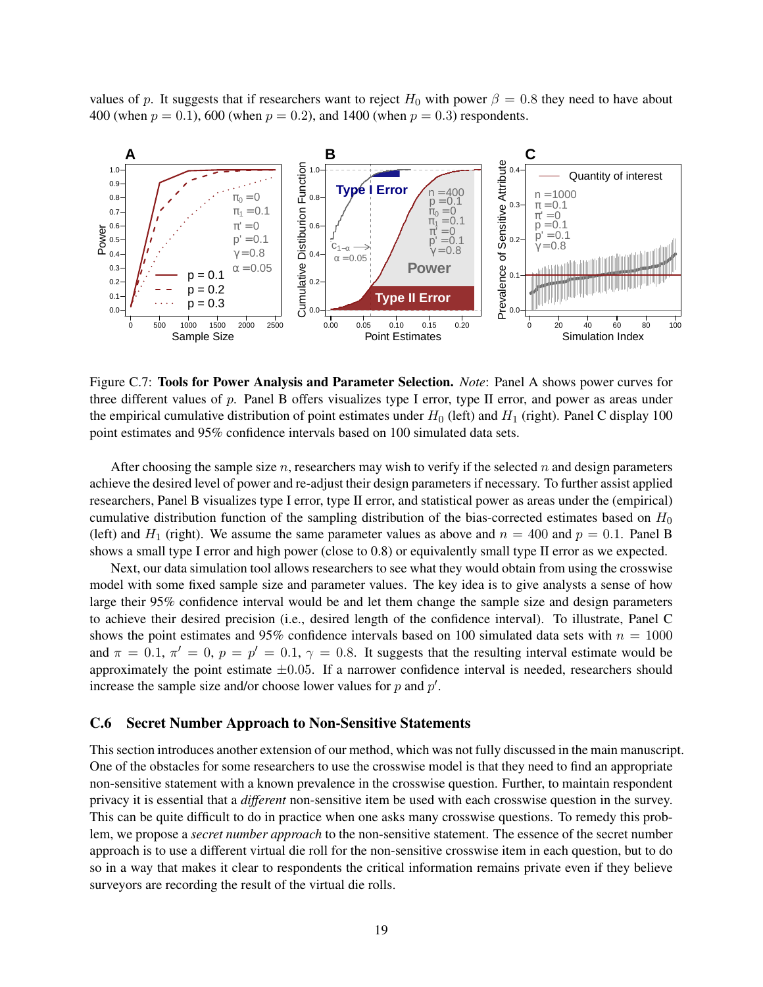values of p. It suggests that if researchers want to reject  $H_0$  with power  $\beta = 0.8$  they need to have about 400 (when  $p = 0.1$ ), 600 (when  $p = 0.2$ ), and 1400 (when  $p = 0.3$ ) respondents.

<span id="page-18-1"></span>

Figure C.7: Tools for Power Analysis and Parameter Selection. *Note*: Panel A shows power curves for three different values of p. Panel B offers visualizes type I error, type II error, and power as areas under the empirical cumulative distribution of point estimates under  $H_0$  (left) and  $H_1$  (right). Panel C display 100 point estimates and 95% confidence intervals based on 100 simulated data sets.

After choosing the sample size n, researchers may wish to verify if the selected n and design parameters achieve the desired level of power and re-adjust their design parameters if necessary. To further assist applied researchers, Panel B visualizes type I error, type II error, and statistical power as areas under the (empirical) cumulative distribution function of the sampling distribution of the bias-corrected estimates based on  $H_0$ (left) and  $H_1$  (right). We assume the same parameter values as above and  $n = 400$  and  $p = 0.1$ . Panel B shows a small type I error and high power (close to 0.8) or equivalently small type II error as we expected.

Next, our data simulation tool allows researchers to see what they would obtain from using the crosswise model with some fixed sample size and parameter values. The key idea is to give analysts a sense of how large their 95% confidence interval would be and let them change the sample size and design parameters to achieve their desired precision (i.e., desired length of the confidence interval). To illustrate, Panel C shows the point estimates and 95% confidence intervals based on 100 simulated data sets with  $n = 1000$ and  $\pi = 0.1$ ,  $\pi' = 0$ ,  $p = p' = 0.1$ ,  $\gamma = 0.8$ . It suggests that the resulting interval estimate would be approximately the point estimate  $\pm 0.05$ . If a narrower confidence interval is needed, researchers should increase the sample size and/or choose lower values for  $p$  and  $p'$ .

#### <span id="page-18-0"></span>C.6 Secret Number Approach to Non-Sensitive Statements

This section introduces another extension of our method, which was not fully discussed in the main manuscript. One of the obstacles for some researchers to use the crosswise model is that they need to find an appropriate non-sensitive statement with a known prevalence in the crosswise question. Further, to maintain respondent privacy it is essential that a *different* non-sensitive item be used with each crosswise question in the survey. This can be quite difficult to do in practice when one asks many crosswise questions. To remedy this problem, we propose a *secret number approach* to the non-sensitive statement. The essence of the secret number approach is to use a different virtual die roll for the non-sensitive crosswise item in each question, but to do so in a way that makes it clear to respondents the critical information remains private even if they believe surveyors are recording the result of the virtual die rolls.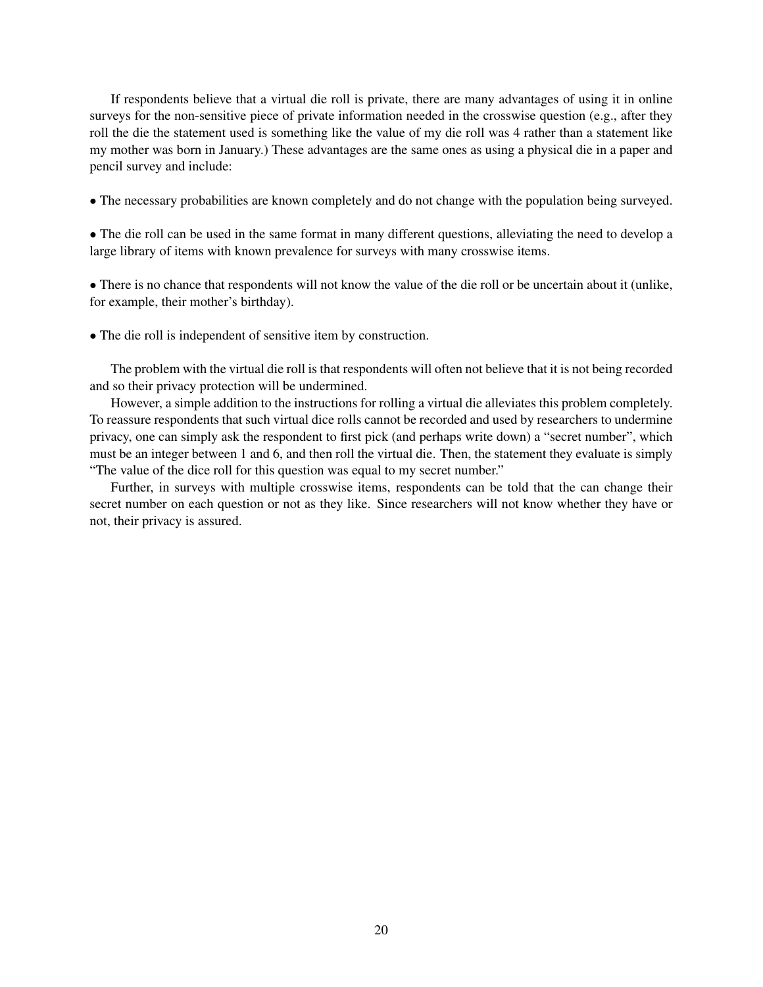If respondents believe that a virtual die roll is private, there are many advantages of using it in online surveys for the non-sensitive piece of private information needed in the crosswise question (e.g., after they roll the die the statement used is something like the value of my die roll was 4 rather than a statement like my mother was born in January.) These advantages are the same ones as using a physical die in a paper and pencil survey and include:

• The necessary probabilities are known completely and do not change with the population being surveyed.

• The die roll can be used in the same format in many different questions, alleviating the need to develop a large library of items with known prevalence for surveys with many crosswise items.

• There is no chance that respondents will not know the value of the die roll or be uncertain about it (unlike, for example, their mother's birthday).

• The die roll is independent of sensitive item by construction.

The problem with the virtual die roll is that respondents will often not believe that it is not being recorded and so their privacy protection will be undermined.

However, a simple addition to the instructions for rolling a virtual die alleviates this problem completely. To reassure respondents that such virtual dice rolls cannot be recorded and used by researchers to undermine privacy, one can simply ask the respondent to first pick (and perhaps write down) a "secret number", which must be an integer between 1 and 6, and then roll the virtual die. Then, the statement they evaluate is simply "The value of the dice roll for this question was equal to my secret number."

Further, in surveys with multiple crosswise items, respondents can be told that the can change their secret number on each question or not as they like. Since researchers will not know whether they have or not, their privacy is assured.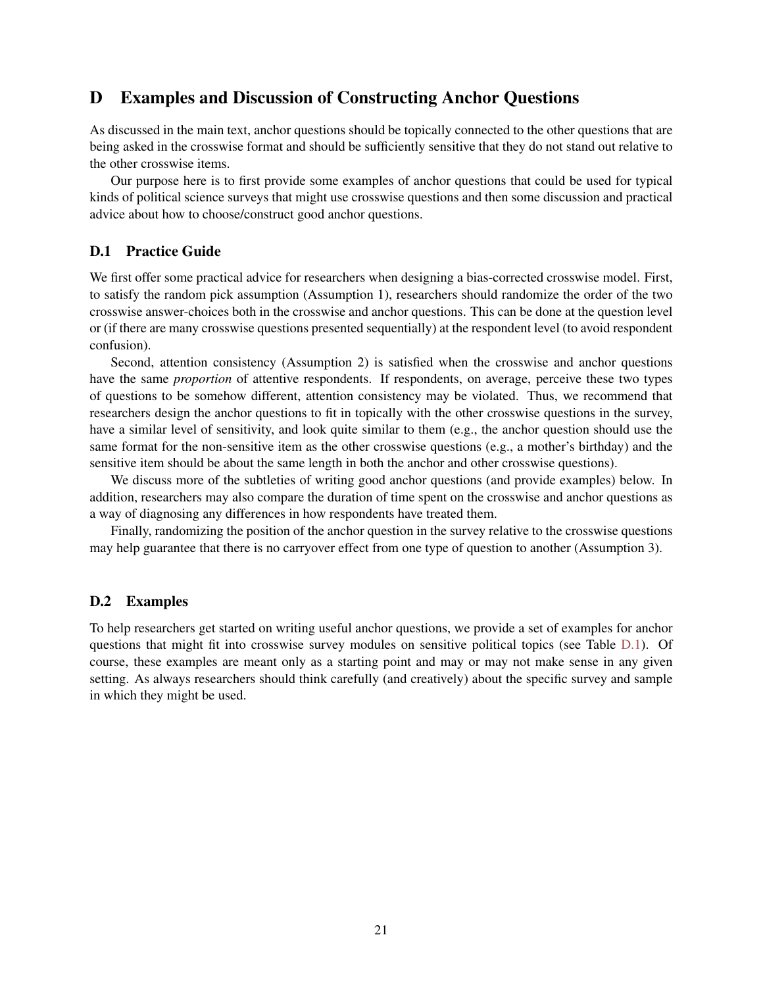# <span id="page-20-0"></span>D Examples and Discussion of Constructing Anchor Questions

As discussed in the main text, anchor questions should be topically connected to the other questions that are being asked in the crosswise format and should be sufficiently sensitive that they do not stand out relative to the other crosswise items.

Our purpose here is to first provide some examples of anchor questions that could be used for typical kinds of political science surveys that might use crosswise questions and then some discussion and practical advice about how to choose/construct good anchor questions.

# <span id="page-20-1"></span>D.1 Practice Guide

We first offer some practical advice for researchers when designing a bias-corrected crosswise model. First, to satisfy the random pick assumption (Assumption 1), researchers should randomize the order of the two crosswise answer-choices both in the crosswise and anchor questions. This can be done at the question level or (if there are many crosswise questions presented sequentially) at the respondent level (to avoid respondent confusion).

Second, attention consistency (Assumption 2) is satisfied when the crosswise and anchor questions have the same *proportion* of attentive respondents. If respondents, on average, perceive these two types of questions to be somehow different, attention consistency may be violated. Thus, we recommend that researchers design the anchor questions to fit in topically with the other crosswise questions in the survey, have a similar level of sensitivity, and look quite similar to them (e.g., the anchor question should use the same format for the non-sensitive item as the other crosswise questions (e.g., a mother's birthday) and the sensitive item should be about the same length in both the anchor and other crosswise questions).

We discuss more of the subtleties of writing good anchor questions (and provide examples) below. In addition, researchers may also compare the duration of time spent on the crosswise and anchor questions as a way of diagnosing any differences in how respondents have treated them.

Finally, randomizing the position of the anchor question in the survey relative to the crosswise questions may help guarantee that there is no carryover effect from one type of question to another (Assumption 3).

### <span id="page-20-2"></span>D.2 Examples

To help researchers get started on writing useful anchor questions, we provide a set of examples for anchor questions that might fit into crosswise survey modules on sensitive political topics (see Table [D.1\)](#page-21-0). Of course, these examples are meant only as a starting point and may or may not make sense in any given setting. As always researchers should think carefully (and creatively) about the specific survey and sample in which they might be used.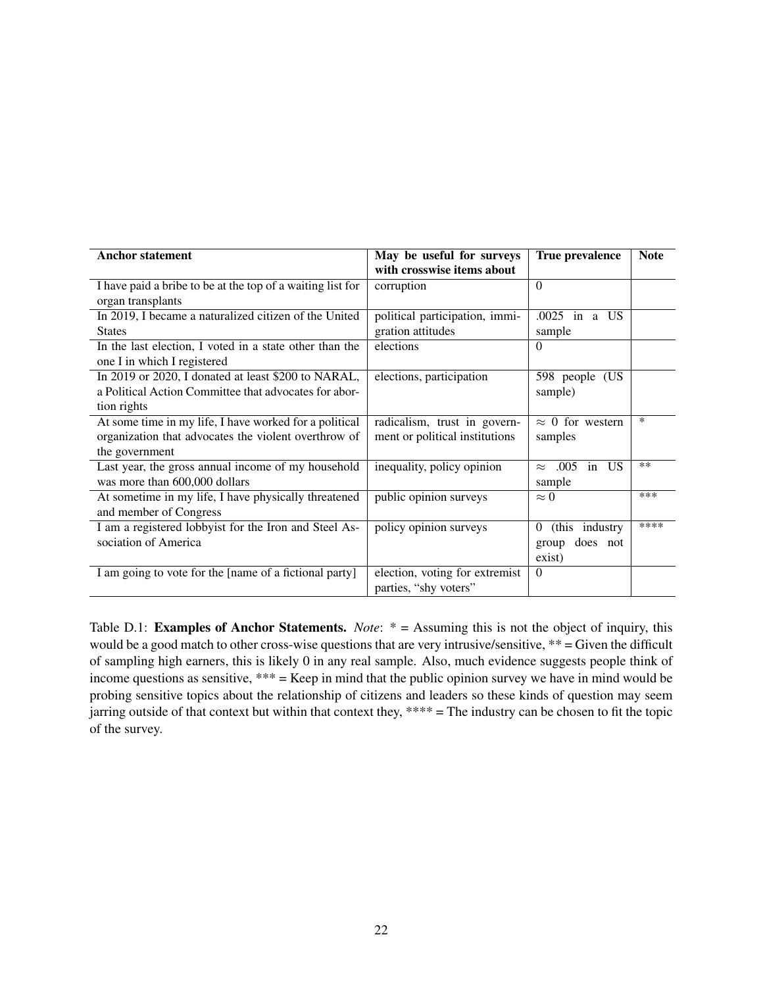<span id="page-21-0"></span>

| <b>Anchor statement</b>                                    | May be useful for surveys      | True prevalence             | <b>Note</b> |
|------------------------------------------------------------|--------------------------------|-----------------------------|-------------|
|                                                            | with crosswise items about     |                             |             |
| I have paid a bribe to be at the top of a waiting list for | corruption                     | $\Omega$                    |             |
| organ transplants                                          |                                |                             |             |
| In 2019, I became a naturalized citizen of the United      | political participation, immi- | .0025 in a<br>US.           |             |
| <b>States</b>                                              | gration attitudes              | sample                      |             |
| In the last election, I voted in a state other than the    | elections                      | $\theta$                    |             |
| one I in which I registered                                |                                |                             |             |
| In 2019 or 2020, I donated at least \$200 to NARAL,        | elections, participation       | 598 people (US              |             |
| a Political Action Committee that advocates for abor-      |                                | sample)                     |             |
| tion rights                                                |                                |                             |             |
| At some time in my life, I have worked for a political     | radicalism, trust in govern-   | $\approx 0$ for western     | $\ast$      |
| organization that advocates the violent overthrow of       | ment or political institutions | samples                     |             |
| the government                                             |                                |                             |             |
| Last year, the gross annual income of my household         | inequality, policy opinion     | in US<br>.005<br>$\approx$  | $**$        |
| was more than 600,000 dollars                              |                                | sample                      |             |
| At sometime in my life, I have physically threatened       | public opinion surveys         | $\approx 0$                 | ***         |
| and member of Congress                                     |                                |                             |             |
| I am a registered lobbyist for the Iron and Steel As-      | policy opinion surveys         | (this industry)<br>$\Omega$ | ****        |
| sociation of America                                       |                                | does not<br>group           |             |
|                                                            |                                | exist)                      |             |
| I am going to vote for the [name of a fictional party]     | election, voting for extremist | $\Omega$                    |             |
|                                                            | parties, "shy voters"          |                             |             |

Table D.1: Examples of Anchor Statements. *Note*: \* = Assuming this is not the object of inquiry, this would be a good match to other cross-wise questions that are very intrusive/sensitive, \*\* = Given the difficult of sampling high earners, this is likely 0 in any real sample. Also, much evidence suggests people think of income questions as sensitive, \*\*\* = Keep in mind that the public opinion survey we have in mind would be probing sensitive topics about the relationship of citizens and leaders so these kinds of question may seem jarring outside of that context but within that context they, \*\*\*\* = The industry can be chosen to fit the topic of the survey.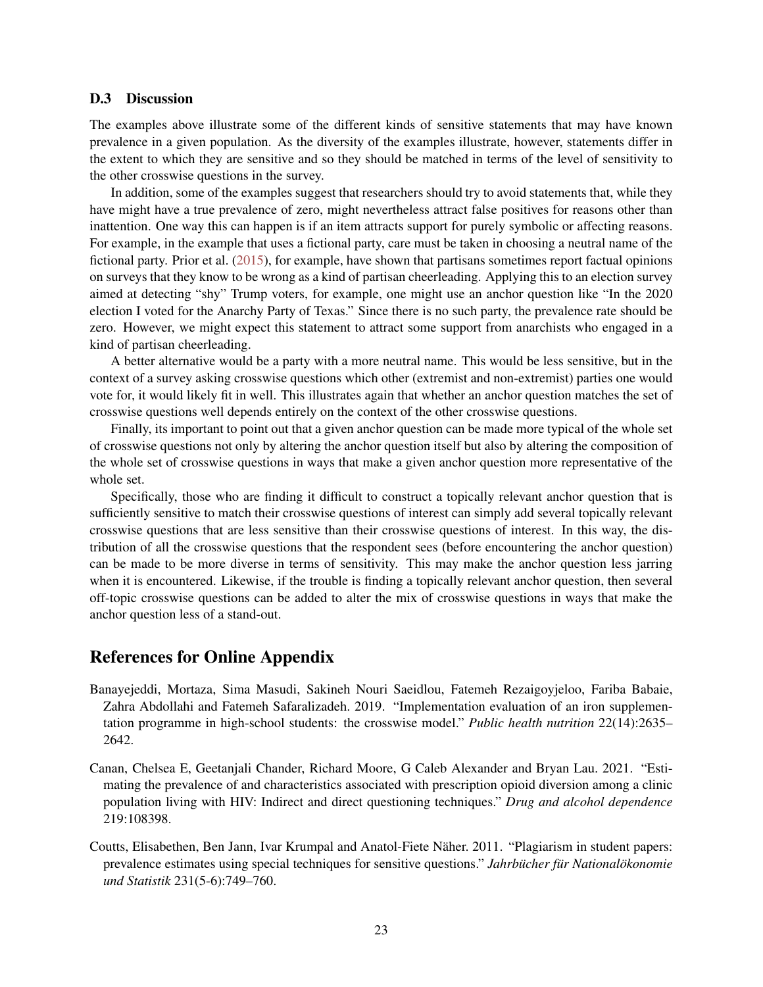### <span id="page-22-0"></span>D.3 Discussion

The examples above illustrate some of the different kinds of sensitive statements that may have known prevalence in a given population. As the diversity of the examples illustrate, however, statements differ in the extent to which they are sensitive and so they should be matched in terms of the level of sensitivity to the other crosswise questions in the survey.

In addition, some of the examples suggest that researchers should try to avoid statements that, while they have might have a true prevalence of zero, might nevertheless attract false positives for reasons other than inattention. One way this can happen is if an item attracts support for purely symbolic or affecting reasons. For example, in the example that uses a fictional party, care must be taken in choosing a neutral name of the fictional party. Prior et al. [\(2015\)](#page-24-4), for example, have shown that partisans sometimes report factual opinions on surveys that they know to be wrong as a kind of partisan cheerleading. Applying this to an election survey aimed at detecting "shy" Trump voters, for example, one might use an anchor question like "In the 2020 election I voted for the Anarchy Party of Texas." Since there is no such party, the prevalence rate should be zero. However, we might expect this statement to attract some support from anarchists who engaged in a kind of partisan cheerleading.

A better alternative would be a party with a more neutral name. This would be less sensitive, but in the context of a survey asking crosswise questions which other (extremist and non-extremist) parties one would vote for, it would likely fit in well. This illustrates again that whether an anchor question matches the set of crosswise questions well depends entirely on the context of the other crosswise questions.

Finally, its important to point out that a given anchor question can be made more typical of the whole set of crosswise questions not only by altering the anchor question itself but also by altering the composition of the whole set of crosswise questions in ways that make a given anchor question more representative of the whole set.

Specifically, those who are finding it difficult to construct a topically relevant anchor question that is sufficiently sensitive to match their crosswise questions of interest can simply add several topically relevant crosswise questions that are less sensitive than their crosswise questions of interest. In this way, the distribution of all the crosswise questions that the respondent sees (before encountering the anchor question) can be made to be more diverse in terms of sensitivity. This may make the anchor question less jarring when it is encountered. Likewise, if the trouble is finding a topically relevant anchor question, then several off-topic crosswise questions can be added to alter the mix of crosswise questions in ways that make the anchor question less of a stand-out.

# References for Online Appendix

- <span id="page-22-2"></span>Banayejeddi, Mortaza, Sima Masudi, Sakineh Nouri Saeidlou, Fatemeh Rezaigoyjeloo, Fariba Babaie, Zahra Abdollahi and Fatemeh Safaralizadeh. 2019. "Implementation evaluation of an iron supplementation programme in high-school students: the crosswise model." *Public health nutrition* 22(14):2635– 2642.
- <span id="page-22-3"></span>Canan, Chelsea E, Geetanjali Chander, Richard Moore, G Caleb Alexander and Bryan Lau. 2021. "Estimating the prevalence of and characteristics associated with prescription opioid diversion among a clinic population living with HIV: Indirect and direct questioning techniques." *Drug and alcohol dependence* 219:108398.
- <span id="page-22-1"></span>Coutts, Elisabethen, Ben Jann, Ivar Krumpal and Anatol-Fiete Näher. 2011. "Plagiarism in student papers: prevalence estimates using special techniques for sensitive questions." *Jahrbücher für Nationalökonomie und Statistik* 231(5-6):749–760.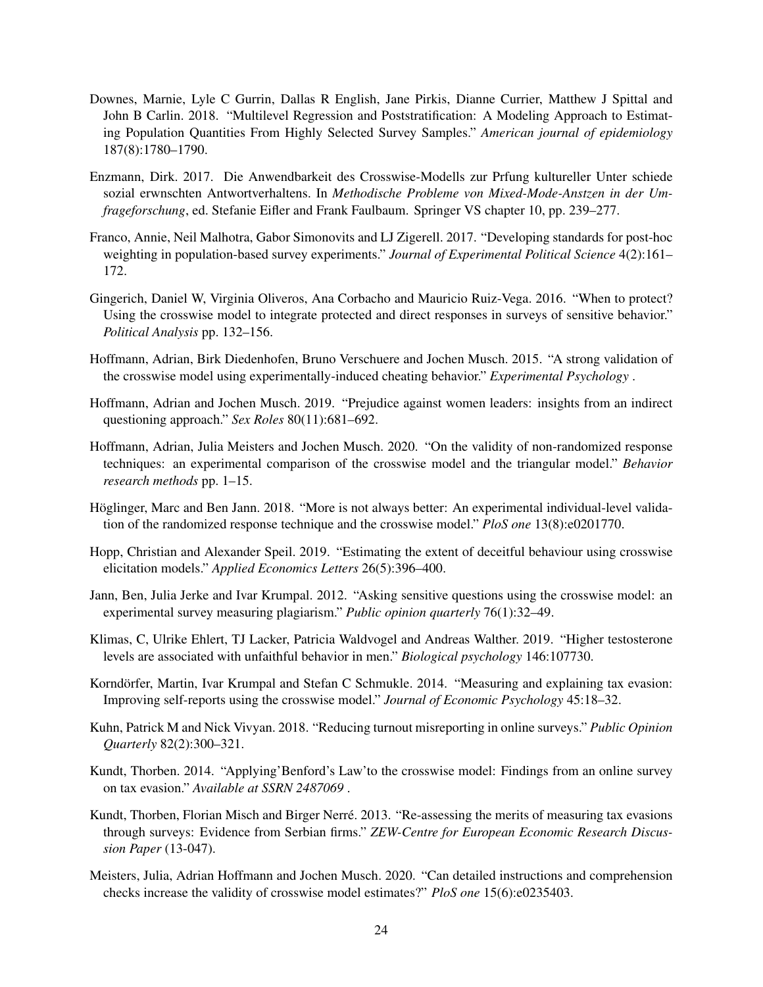- <span id="page-23-3"></span>Downes, Marnie, Lyle C Gurrin, Dallas R English, Jane Pirkis, Dianne Currier, Matthew J Spittal and John B Carlin. 2018. "Multilevel Regression and Poststratification: A Modeling Approach to Estimating Population Quantities From Highly Selected Survey Samples." *American journal of epidemiology* 187(8):1780–1790.
- Enzmann, Dirk. 2017. Die Anwendbarkeit des Crosswise-Modells zur Prfung kultureller Unter schiede sozial erwnschten Antwortverhaltens. In *Methodische Probleme von Mixed-Mode-Anstzen in der Umfrageforschung*, ed. Stefanie Eifler and Frank Faulbaum. Springer VS chapter 10, pp. 239–277.
- Franco, Annie, Neil Malhotra, Gabor Simonovits and LJ Zigerell. 2017. "Developing standards for post-hoc weighting in population-based survey experiments." *Journal of Experimental Political Science* 4(2):161– 172.
- Gingerich, Daniel W, Virginia Oliveros, Ana Corbacho and Mauricio Ruiz-Vega. 2016. "When to protect? Using the crosswise model to integrate protected and direct responses in surveys of sensitive behavior." *Political Analysis* pp. 132–156.
- Hoffmann, Adrian, Birk Diedenhofen, Bruno Verschuere and Jochen Musch. 2015. "A strong validation of the crosswise model using experimentally-induced cheating behavior." *Experimental Psychology* .
- Hoffmann, Adrian and Jochen Musch. 2019. "Prejudice against women leaders: insights from an indirect questioning approach." *Sex Roles* 80(11):681–692.
- Hoffmann, Adrian, Julia Meisters and Jochen Musch. 2020. "On the validity of non-randomized response techniques: an experimental comparison of the crosswise model and the triangular model." *Behavior research methods* pp. 1–15.
- Höglinger, Marc and Ben Jann. 2018. "More is not always better: An experimental individual-level validation of the randomized response technique and the crosswise model." *PloS one* 13(8):e0201770.
- <span id="page-23-1"></span>Hopp, Christian and Alexander Speil. 2019. "Estimating the extent of deceitful behaviour using crosswise elicitation models." *Applied Economics Letters* 26(5):396–400.
- Jann, Ben, Julia Jerke and Ivar Krumpal. 2012. "Asking sensitive questions using the crosswise model: an experimental survey measuring plagiarism." *Public opinion quarterly* 76(1):32–49.
- <span id="page-23-2"></span>Klimas, C, Ulrike Ehlert, TJ Lacker, Patricia Waldvogel and Andreas Walther. 2019. "Higher testosterone levels are associated with unfaithful behavior in men." *Biological psychology* 146:107730.
- Korndörfer, Martin, Ivar Krumpal and Stefan C Schmukle. 2014. "Measuring and explaining tax evasion: Improving self-reports using the crosswise model." *Journal of Economic Psychology* 45:18–32.
- Kuhn, Patrick M and Nick Vivyan. 2018. "Reducing turnout misreporting in online surveys." *Public Opinion Quarterly* 82(2):300–321.
- Kundt, Thorben. 2014. "Applying'Benford's Law'to the crosswise model: Findings from an online survey on tax evasion." *Available at SSRN 2487069* .
- <span id="page-23-0"></span>Kundt, Thorben, Florian Misch and Birger Nerre. 2013. "Re-assessing the merits of measuring tax evasions ´ through surveys: Evidence from Serbian firms." *ZEW-Centre for European Economic Research Discussion Paper* (13-047).
- Meisters, Julia, Adrian Hoffmann and Jochen Musch. 2020. "Can detailed instructions and comprehension checks increase the validity of crosswise model estimates?" *PloS one* 15(6):e0235403.